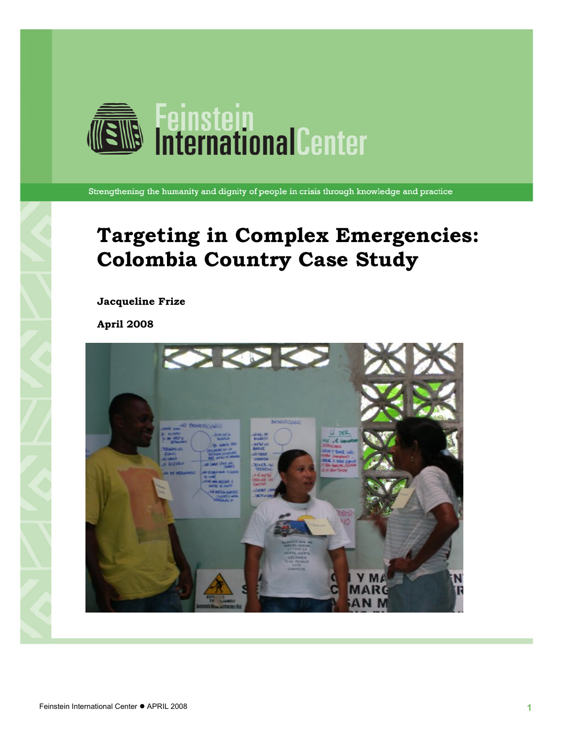

Strengthening the humanity and dignity of people in crisis through knowledge and practice

### **Targeting in Complex Emergencies: Colombia Country Case Study**

**Jacqueline Frize** 

**April 2008** 

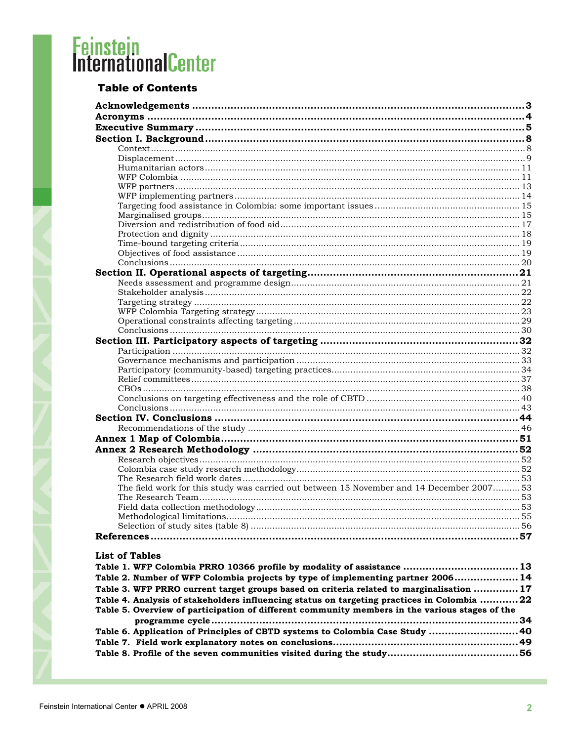### **Table of Contents**

| The field work for this study was carried out between 15 November and 14 December 2007 53      |  |
|------------------------------------------------------------------------------------------------|--|
|                                                                                                |  |
|                                                                                                |  |
|                                                                                                |  |
|                                                                                                |  |
|                                                                                                |  |
|                                                                                                |  |
| <b>List of Tables</b>                                                                          |  |
| Table 1. WFP Colombia PRRO 10366 profile by modality of assistance  13                         |  |
| Table 2. Number of WFP Colombia projects by type of implementing partner 2006 14               |  |
| Table 3. WFP PRRO current target groups based on criteria related to marginalisation  17       |  |
| Table 4. Analysis of stakeholders influencing status on targeting practices in Colombia 22     |  |
| Table 5. Overview of participation of different community members in the various stages of the |  |
|                                                                                                |  |
| Table 6. Application of Principles of CBTD systems to Colombia Case Study  40                  |  |
|                                                                                                |  |
|                                                                                                |  |
|                                                                                                |  |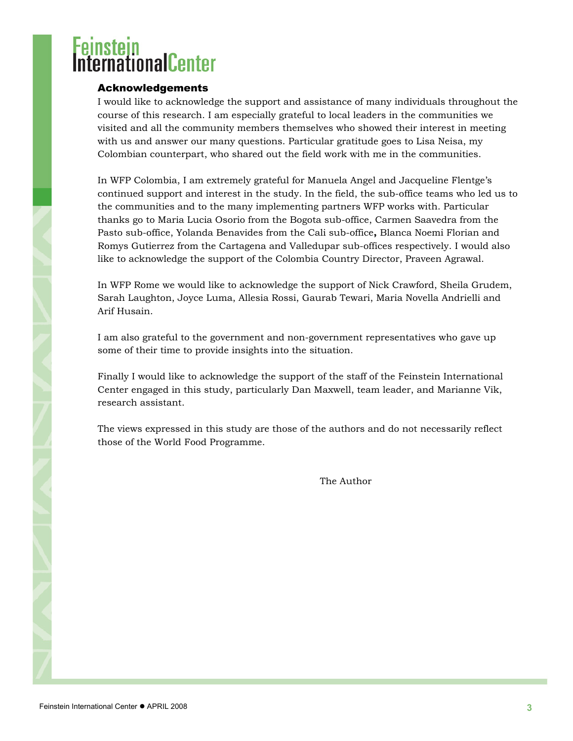# <span id="page-2-0"></span>ernationalCenter

### Acknowledgements

I would like to acknowledge the support and assistance of many individuals throughout the course of this research. I am especially grateful to local leaders in the communities we visited and all the community members themselves who showed their interest in meeting with us and answer our many questions. Particular gratitude goes to Lisa Neisa, my Colombian counterpart, who shared out the field work with me in the communities.

In WFP Colombia, I am extremely grateful for Manuela Angel and Jacqueline Flentge's continued support and interest in the study. In the field, the sub-office teams who led us to the communities and to the many implementing partners WFP works with. Particular thanks go to Maria Lucia Osorio from the Bogota sub-office, Carmen Saavedra from the Pasto sub-office, Yolanda Benavides from the Cali sub-office**,** Blanca Noemi Florian and Romys Gutierrez from the Cartagena and Valledupar sub-offices respectively. I would also like to acknowledge the support of the Colombia Country Director, Praveen Agrawal.

In WFP Rome we would like to acknowledge the support of Nick Crawford, Sheila Grudem, Sarah Laughton, Joyce Luma, Allesia Rossi, Gaurab Tewari, Maria Novella Andrielli and Arif Husain.

I am also grateful to the government and non-government representatives who gave up some of their time to provide insights into the situation.

Finally I would like to acknowledge the support of the staff of the Feinstein International Center engaged in this study, particularly Dan Maxwell, team leader, and Marianne Vik, research assistant.

The views expressed in this study are those of the authors and do not necessarily reflect those of the World Food Programme.

The Author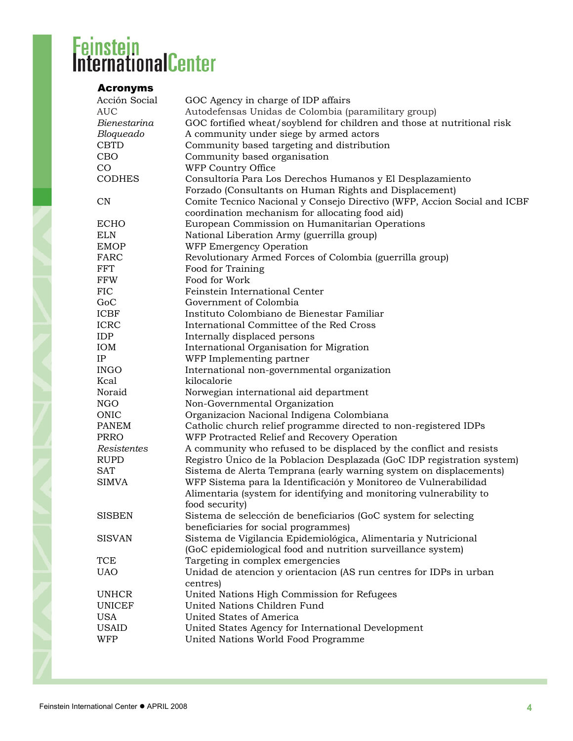### <span id="page-3-0"></span>Acronyms

| Acción Social           | GOC Agency in charge of IDP affairs                                      |
|-------------------------|--------------------------------------------------------------------------|
| <b>AUC</b>              | Autodefensas Unidas de Colombia (paramilitary group)                     |
| Bienestarina            | GOC fortified wheat/soyblend for children and those at nutritional risk  |
| Bloqueado               | A community under siege by armed actors                                  |
| <b>CBTD</b>             | Community based targeting and distribution                               |
| CBO                     | Community based organisation                                             |
| CO                      | WFP Country Office                                                       |
| <b>CODHES</b>           | Consultoría Para Los Derechos Humanos y El Desplazamiento                |
|                         | Forzado (Consultants on Human Rights and Displacement)                   |
| $\mathbf{C} \mathbf{N}$ | Comite Tecnico Nacional y Consejo Directivo (WFP, Accion Social and ICBF |
|                         | coordination mechanism for allocating food aid)                          |
| <b>ECHO</b>             | European Commission on Humanitarian Operations                           |
| <b>ELN</b>              | National Liberation Army (guerrilla group)                               |
| <b>EMOP</b>             | WFP Emergency Operation                                                  |
| FARC                    | Revolutionary Armed Forces of Colombia (guerrilla group)                 |
| <b>FFT</b>              | Food for Training                                                        |
| <b>FFW</b>              | Food for Work                                                            |
| <b>FIC</b>              | Feinstein International Center                                           |
| GoC                     | Government of Colombia                                                   |
| <b>ICBF</b>             | Instituto Colombiano de Bienestar Familiar                               |
| <b>ICRC</b>             | International Committee of the Red Cross                                 |
| <b>IDP</b>              | Internally displaced persons                                             |
| IOM                     | International Organisation for Migration                                 |
| IP                      | WFP Implementing partner                                                 |
| <b>INGO</b>             | International non-governmental organization                              |
| Kcal                    | kilocalorie                                                              |
| Noraid                  | Norwegian international aid department                                   |
| <b>NGO</b>              | Non-Governmental Organization                                            |
| ONIC                    | Organizacion Nacional Indigena Colombiana                                |
| <b>PANEM</b>            | Catholic church relief programme directed to non-registered IDPs         |
| <b>PRRO</b>             | WFP Protracted Relief and Recovery Operation                             |
| Resistentes             | A community who refused to be displaced by the conflict and resists      |
| <b>RUPD</b>             | Registro Único de la Poblacion Desplazada (GoC IDP registration system)  |
| <b>SAT</b>              | Sistema de Alerta Temprana (early warning system on displacements)       |
| <b>SIMVA</b>            | WFP Sistema para la Identificación y Monitoreo de Vulnerabilidad         |
|                         | Alimentaria (system for identifying and monitoring vulnerability to      |
|                         | food security)                                                           |
| <b>SISBEN</b>           | Sistema de selección de beneficiarios (GoC system for selecting          |
|                         | beneficiaries for social programmes)                                     |
| <b>SISVAN</b>           | Sistema de Vigilancia Epidemiológica, Alimentaria y Nutricional          |
|                         | (GoC epidemiological food and nutrition surveillance system)             |
| TCE                     | Targeting in complex emergencies                                         |
| <b>UAO</b>              | Unidad de atencion y orientacion (AS run centres for IDPs in urban       |
|                         | centres)                                                                 |
| <b>UNHCR</b>            | United Nations High Commission for Refugees                              |
| <b>UNICEF</b>           | United Nations Children Fund                                             |
| <b>USA</b>              | United States of America                                                 |
| <b>USAID</b>            | United States Agency for International Development                       |
| <b>WFP</b>              | United Nations World Food Programme                                      |
|                         |                                                                          |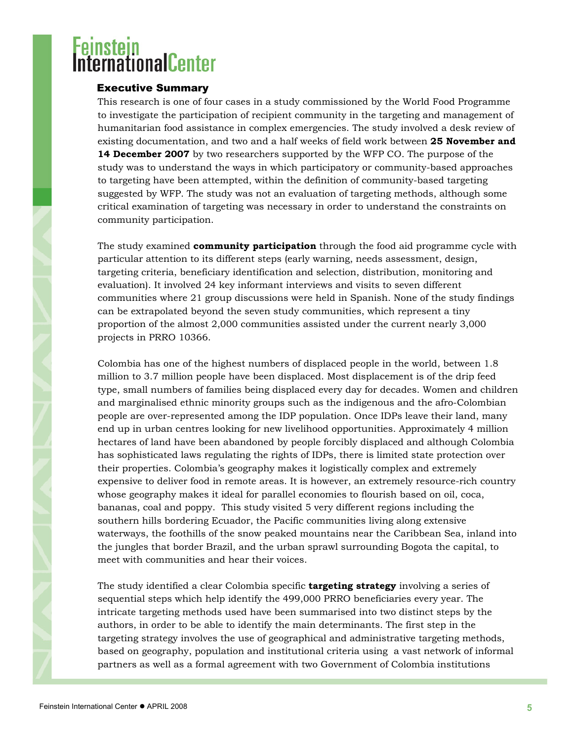# <span id="page-4-0"></span>**THROUGH**

### Executive Summary

This research is one of four cases in a study commissioned by the World Food Programme to investigate the participation of recipient community in the targeting and management of humanitarian food assistance in complex emergencies. The study involved a desk review of existing documentation, and two and a half weeks of field work between **25 November and 14 December 2007** by two researchers supported by the WFP CO. The purpose of the study was to understand the ways in which participatory or community-based approaches to targeting have been attempted, within the definition of community-based targeting suggested by WFP. The study was not an evaluation of targeting methods, although some critical examination of targeting was necessary in order to understand the constraints on community participation.

The study examined **community participation** through the food aid programme cycle with particular attention to its different steps (early warning, needs assessment, design, targeting criteria, beneficiary identification and selection, distribution, monitoring and evaluation). It involved 24 key informant interviews and visits to seven different communities where 21 group discussions were held in Spanish. None of the study findings can be extrapolated beyond the seven study communities, which represent a tiny proportion of the almost 2,000 communities assisted under the current nearly 3,000 projects in PRRO 10366.

Colombia has one of the highest numbers of displaced people in the world, between 1.8 million to 3.7 million people have been displaced. Most displacement is of the drip feed type, small numbers of families being displaced every day for decades. Women and children and marginalised ethnic minority groups such as the indigenous and the afro-Colombian people are over-represented among the IDP population. Once IDPs leave their land, many end up in urban centres looking for new livelihood opportunities. Approximately 4 million hectares of land have been abandoned by people forcibly displaced and although Colombia has sophisticated laws regulating the rights of IDPs, there is limited state protection over their properties. Colombia's geography makes it logistically complex and extremely expensive to deliver food in remote areas. It is however, an extremely resource-rich country whose geography makes it ideal for parallel economies to flourish based on oil, coca, bananas, coal and poppy. This study visited 5 very different regions including the southern hills bordering Ecuador, the Pacific communities living along extensive waterways, the foothills of the snow peaked mountains near the Caribbean Sea, inland into the jungles that border Brazil, and the urban sprawl surrounding Bogota the capital, to meet with communities and hear their voices.

The study identified a clear Colombia specific **targeting strategy** involving a series of sequential steps which help identify the 499,000 PRRO beneficiaries every year. The intricate targeting methods used have been summarised into two distinct steps by the authors, in order to be able to identify the main determinants. The first step in the targeting strategy involves the use of geographical and administrative targeting methods, based on geography, population and institutional criteria using a vast network of informal partners as well as a formal agreement with two Government of Colombia institutions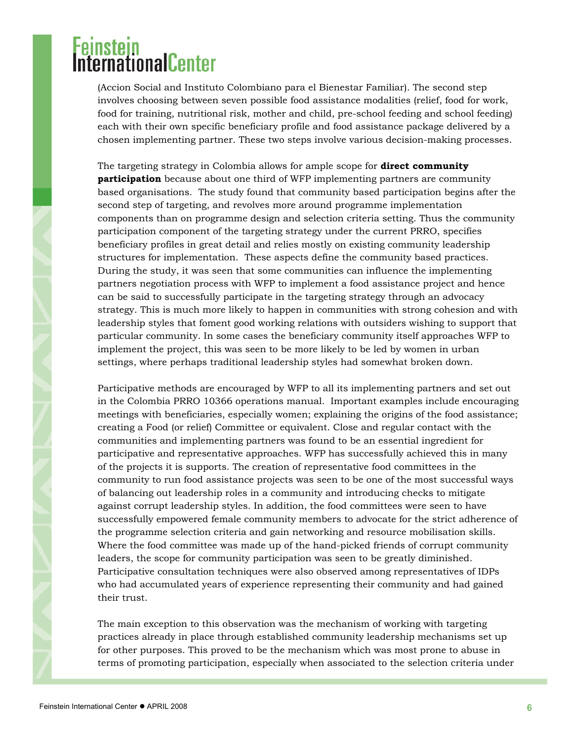# i<mark>einstein</mark><br>nternational<mark>Ce</mark>nter

(Accion Social and Instituto Colombiano para el Bienestar Familiar). The second step involves choosing between seven possible food assistance modalities (relief, food for work, food for training, nutritional risk, mother and child, pre-school feeding and school feeding) each with their own specific beneficiary profile and food assistance package delivered by a chosen implementing partner. These two steps involve various decision-making processes.

The targeting strategy in Colombia allows for ample scope for **direct community participation** because about one third of WFP implementing partners are community based organisations. The study found that community based participation begins after the second step of targeting, and revolves more around programme implementation components than on programme design and selection criteria setting. Thus the community participation component of the targeting strategy under the current PRRO, specifies beneficiary profiles in great detail and relies mostly on existing community leadership structures for implementation. These aspects define the community based practices. During the study, it was seen that some communities can influence the implementing partners negotiation process with WFP to implement a food assistance project and hence can be said to successfully participate in the targeting strategy through an advocacy strategy. This is much more likely to happen in communities with strong cohesion and with leadership styles that foment good working relations with outsiders wishing to support that particular community. In some cases the beneficiary community itself approaches WFP to implement the project, this was seen to be more likely to be led by women in urban settings, where perhaps traditional leadership styles had somewhat broken down.

Participative methods are encouraged by WFP to all its implementing partners and set out in the Colombia PRRO 10366 operations manual. Important examples include encouraging meetings with beneficiaries, especially women; explaining the origins of the food assistance; creating a Food (or relief) Committee or equivalent. Close and regular contact with the communities and implementing partners was found to be an essential ingredient for participative and representative approaches. WFP has successfully achieved this in many of the projects it is supports. The creation of representative food committees in the community to run food assistance projects was seen to be one of the most successful ways of balancing out leadership roles in a community and introducing checks to mitigate against corrupt leadership styles. In addition, the food committees were seen to have successfully empowered female community members to advocate for the strict adherence of the programme selection criteria and gain networking and resource mobilisation skills. Where the food committee was made up of the hand-picked friends of corrupt community leaders, the scope for community participation was seen to be greatly diminished. Participative consultation techniques were also observed among representatives of IDPs who had accumulated years of experience representing their community and had gained their trust.

The main exception to this observation was the mechanism of working with targeting practices already in place through established community leadership mechanisms set up for other purposes. This proved to be the mechanism which was most prone to abuse in terms of promoting participation, especially when associated to the selection criteria under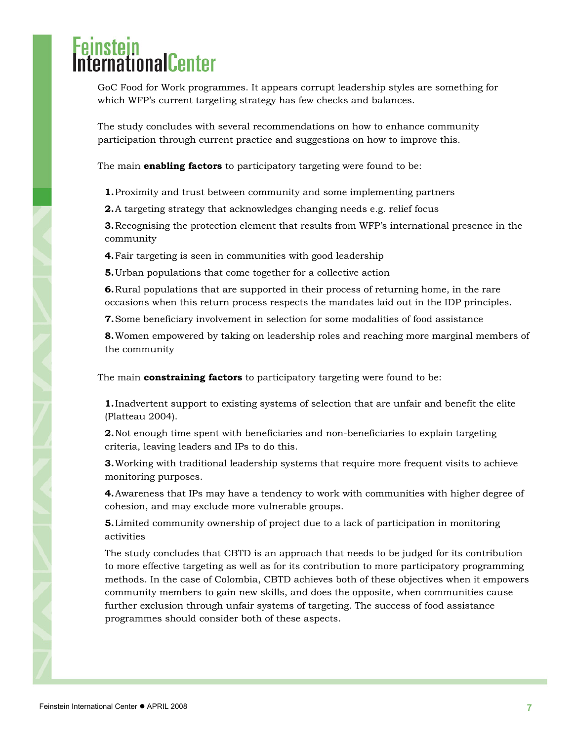# **rnationalCenter**

GoC Food for Work programmes. It appears corrupt leadership styles are something for which WFP's current targeting strategy has few checks and balances.

The study concludes with several recommendations on how to enhance community participation through current practice and suggestions on how to improve this.

The main **enabling factors** to participatory targeting were found to be:

**1.**Proximity and trust between community and some implementing partners

**2.**A targeting strategy that acknowledges changing needs e.g. relief focus

**3.**Recognising the protection element that results from WFP's international presence in the community

**4.**Fair targeting is seen in communities with good leadership

**5.**Urban populations that come together for a collective action

**6.**Rural populations that are supported in their process of returning home, in the rare occasions when this return process respects the mandates laid out in the IDP principles.

**7.**Some beneficiary involvement in selection for some modalities of food assistance

**8.**Women empowered by taking on leadership roles and reaching more marginal members of the community

The main **constraining factors** to participatory targeting were found to be:

**1.**Inadvertent support to existing systems of selection that are unfair and benefit the elite (Platteau 2004).

**2.**Not enough time spent with beneficiaries and non-beneficiaries to explain targeting criteria, leaving leaders and IPs to do this.

**3.**Working with traditional leadership systems that require more frequent visits to achieve monitoring purposes.

**4.**Awareness that IPs may have a tendency to work with communities with higher degree of cohesion, and may exclude more vulnerable groups.

**5.**Limited community ownership of project due to a lack of participation in monitoring activities

The study concludes that CBTD is an approach that needs to be judged for its contribution to more effective targeting as well as for its contribution to more participatory programming methods. In the case of Colombia, CBTD achieves both of these objectives when it empowers community members to gain new skills, and does the opposite, when communities cause further exclusion through unfair systems of targeting. The success of food assistance programmes should consider both of these aspects.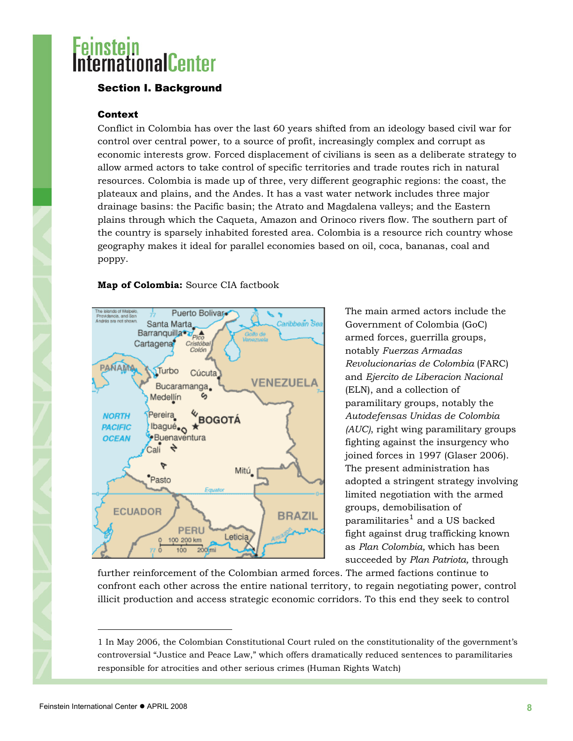# <span id="page-7-0"></span>**Experiment Center**

### Section I. Background

### Context

Conflict in Colombia has over the last 60 years shifted from an ideology based civil war for control over central power, to a source of profit, increasingly complex and corrupt as economic interests grow. Forced displacement of civilians is seen as a deliberate strategy to allow armed actors to take control of specific territories and trade routes rich in natural resources. Colombia is made up of three, very different geographic regions: the coast, the plateaux and plains, and the Andes. It has a vast water network includes three major drainage basins: the Pacific basin; the Atrato and Magdalena valleys; and the Eastern plains through which the Caqueta, Amazon and Orinoco rivers flow. The southern part of the country is sparsely inhabited forested area. Colombia is a resource rich country whose geography makes it ideal for parallel economies based on oil, coca, bananas, coal and poppy.

### **Map of Colombia:** Source CIA factbook



The main armed actors include the Government of Colombia (GoC) armed forces, guerrilla groups, notably *Fuerzas Armadas Revolucionarias de Colombia* (FARC) and *Ejercito de Liberacion Nacional* (ELN), and a collection of paramilitary groups, notably the *Autodefensas Unidas de Colombia (AUC)*, right wing paramilitary groups fighting against the insurgency who joined forces in 1997 (Glaser 2006). The present administration has adopted a stringent strategy involving limited negotiation with the armed groups, demobilisation of paramilitaries $^{\rm 1}$  $^{\rm 1}$  $^{\rm 1}$  and a US backed fight against drug trafficking known as *Plan Colombia,* which has been succeeded by *Plan Patriota,* through

further reinforcement of the Colombian armed forces. The armed factions continue to confront each other across the entire national territory, to regain negotiating power, control illicit production and access strategic economic corridors. To this end they seek to control

l

<span id="page-7-1"></span><sup>1</sup> In May 2006, the Colombian Constitutional Court ruled on the constitutionality of the government's controversial "Justice and Peace Law," which offers dramatically reduced sentences to paramilitaries responsible for atrocities and other serious crimes (Human Rights Watch)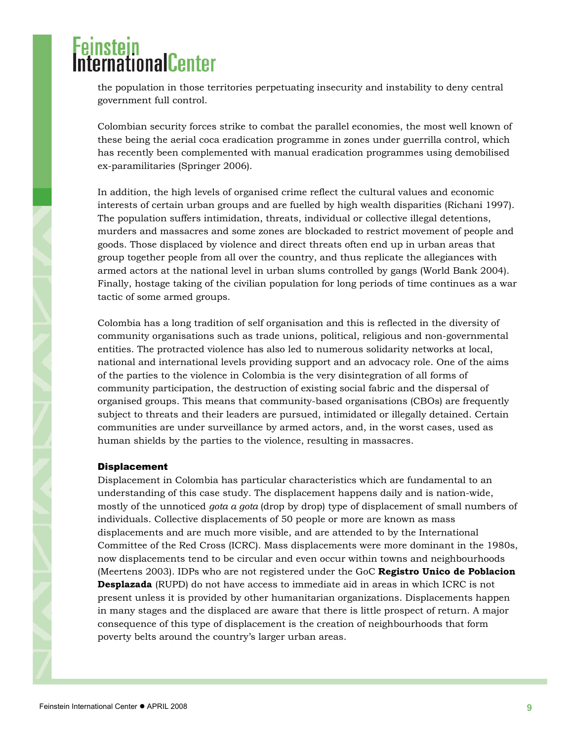# <span id="page-8-0"></span><mark>einstein</mark><br>nternationalCenter

the population in those territories perpetuating insecurity and instability to deny central government full control.

Colombian security forces strike to combat the parallel economies, the most well known of these being the aerial coca eradication programme in zones under guerrilla control, which has recently been complemented with manual eradication programmes using demobilised ex-paramilitaries (Springer 2006).

In addition, the high levels of organised crime reflect the cultural values and economic interests of certain urban groups and are fuelled by high wealth disparities (Richani 1997). The population suffers intimidation, threats, individual or collective illegal detentions, murders and massacres and some zones are blockaded to restrict movement of people and goods. Those displaced by violence and direct threats often end up in urban areas that group together people from all over the country, and thus replicate the allegiances with armed actors at the national level in urban slums controlled by gangs (World Bank 2004). Finally, hostage taking of the civilian population for long periods of time continues as a war tactic of some armed groups.

Colombia has a long tradition of self organisation and this is reflected in the diversity of community organisations such as trade unions, political, religious and non-governmental entities. The protracted violence has also led to numerous solidarity networks at local, national and international levels providing support and an advocacy role. One of the aims of the parties to the violence in Colombia is the very disintegration of all forms of community participation, the destruction of existing social fabric and the dispersal of organised groups. This means that community-based organisations (CBOs) are frequently subject to threats and their leaders are pursued, intimidated or illegally detained. Certain communities are under surveillance by armed actors, and, in the worst cases, used as human shields by the parties to the violence, resulting in massacres.

#### Displacement

Displacement in Colombia has particular characteristics which are fundamental to an understanding of this case study. The displacement happens daily and is nation-wide, mostly of the unnoticed *gota a gota* (drop by drop) type of displacement of small numbers of individuals. Collective displacements of 50 people or more are known as mass displacements and are much more visible, and are attended to by the International Committee of the Red Cross (ICRC). Mass displacements were more dominant in the 1980s, now displacements tend to be circular and even occur within towns and neighbourhoods (Meertens 2003). IDPs who are not registered under the GoC **Registro Unico de Poblacion Desplazada** (RUPD) do not have access to immediate aid in areas in which ICRC is not present unless it is provided by other humanitarian organizations. Displacements happen in many stages and the displaced are aware that there is little prospect of return. A major consequence of this type of displacement is the creation of neighbourhoods that form poverty belts around the country's larger urban areas.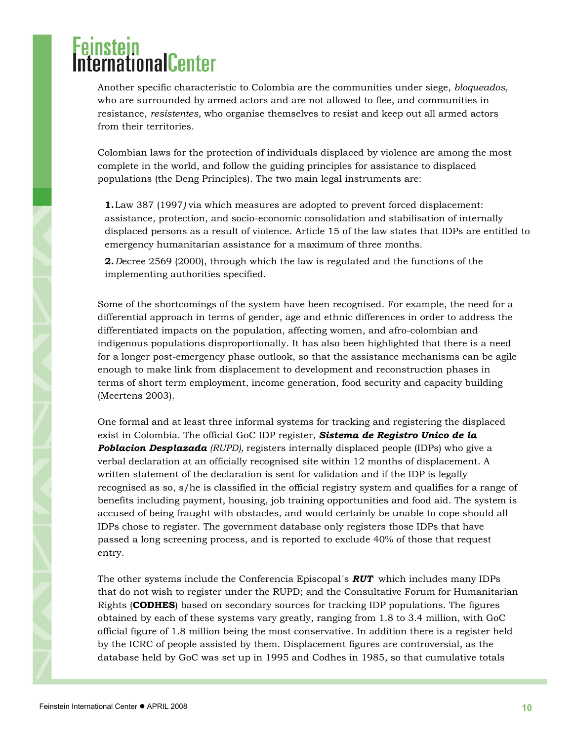Another specific characteristic to Colombia are the communities under siege, *bloqueados,*  who are surrounded by armed actors and are not allowed to flee, and communities in resistance, *resistentes,* who organise themselves to resist and keep out all armed actors from their territories.

Colombian laws for the protection of individuals displaced by violence are among the most complete in the world, and follow the guiding principles for assistance to displaced populations (the Deng Principles). The two main legal instruments are:

**1.**Law 387 (1997*)* via which measures are adopted to prevent forced displacement: assistance, protection, and socio-economic consolidation and stabilisation of internally displaced persons as a result of violence. Article 15 of the law states that IDPs are entitled to emergency humanitarian assistance for a maximum of three months.

**2.***D*ecree 2569 (2000), through which the law is regulated and the functions of the implementing authorities specified.

Some of the shortcomings of the system have been recognised. For example, the need for a differential approach in terms of gender, age and ethnic differences in order to address the differentiated impacts on the population, affecting women, and afro-colombian and indigenous populations disproportionally. It has also been highlighted that there is a need for a longer post-emergency phase outlook, so that the assistance mechanisms can be agile enough to make link from displacement to development and reconstruction phases in terms of short term employment, income generation, food security and capacity building (Meertens 2003).

One formal and at least three informal systems for tracking and registering the displaced exist in Colombia. The official GoC IDP register, *Sistema de Registro Unico de la Poblacion Desplazada (RUPD),* registers internally displaced people (IDPs) who give a verbal declaration at an officially recognised site within 12 months of displacement. A written statement of the declaration is sent for validation and if the IDP is legally recognised as so, s/he is classified in the official registry system and qualifies for a range of benefits including payment, housing, job training opportunities and food aid. The system is accused of being fraught with obstacles, and would certainly be unable to cope should all IDPs chose to register. The government database only registers those IDPs that have passed a long screening process, and is reported to exclude 40% of those that request entry.

The other systems include the Conferencia Episcopal´s *RUT* which includes many IDPs that do not wish to register under the RUPD; and the Consultative Forum for Humanitarian Rights (**CODHES**) based on secondary sources for tracking IDP populations. The figures obtained by each of these systems vary greatly, ranging from 1.8 to 3.4 million, with GoC official figure of 1.8 million being the most conservative. In addition there is a register held by the ICRC of people assisted by them. Displacement figures are controversial, as the database held by GoC was set up in 1995 and Codhes in 1985, so that cumulative totals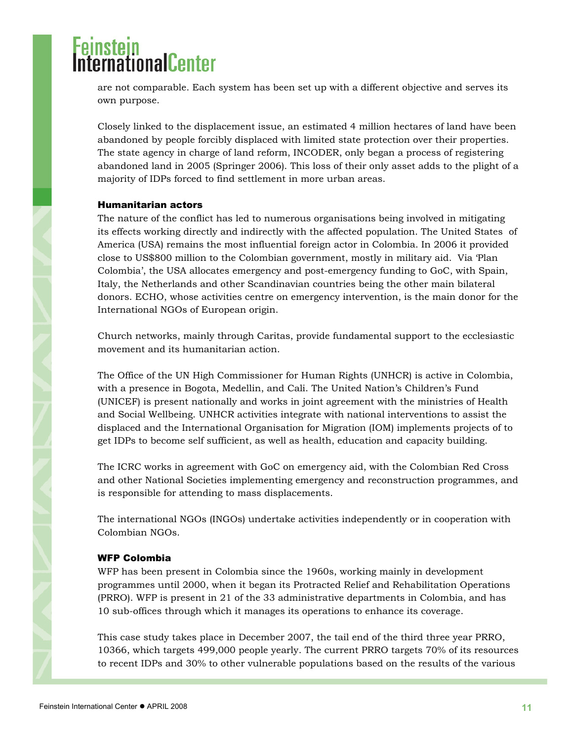# <span id="page-10-0"></span>**ProtonionalCenter**

are not comparable. Each system has been set up with a different objective and serves its own purpose.

Closely linked to the displacement issue, an estimated 4 million hectares of land have been abandoned by people forcibly displaced with limited state protection over their properties. The state agency in charge of land reform, INCODER, only began a process of registering abandoned land in 2005 (Springer 2006). This loss of their only asset adds to the plight of a majority of IDPs forced to find settlement in more urban areas.

#### Humanitarian actors

The nature of the conflict has led to numerous organisations being involved in mitigating its effects working directly and indirectly with the affected population. The United States of America (USA) remains the most influential foreign actor in Colombia. In 2006 it provided close to US\$800 million to the Colombian government, mostly in military aid. Via 'Plan Colombia', the USA allocates emergency and post-emergency funding to GoC, with Spain, Italy, the Netherlands and other Scandinavian countries being the other main bilateral donors. ECHO, whose activities centre on emergency intervention, is the main donor for the International NGOs of European origin.

Church networks, mainly through Caritas, provide fundamental support to the ecclesiastic movement and its humanitarian action.

The Office of the UN High Commissioner for Human Rights (UNHCR) is active in Colombia, with a presence in Bogota, Medellin, and Cali. The United Nation's Children's Fund (UNICEF) is present nationally and works in joint agreement with the ministries of Health and Social Wellbeing. UNHCR activities integrate with national interventions to assist the displaced and the International Organisation for Migration (IOM) implements projects of to get IDPs to become self sufficient, as well as health, education and capacity building.

The ICRC works in agreement with GoC on emergency aid, with the Colombian Red Cross and other National Societies implementing emergency and reconstruction programmes, and is responsible for attending to mass displacements.

The international NGOs (INGOs) undertake activities independently or in cooperation with Colombian NGOs.

### WFP Colombia

WFP has been present in Colombia since the 1960s, working mainly in development programmes until 2000, when it began its Protracted Relief and Rehabilitation Operations (PRRO). WFP is present in 21 of the 33 administrative departments in Colombia, and has 10 sub-offices through which it manages its operations to enhance its coverage.

This case study takes place in December 2007, the tail end of the third three year PRRO, 10366, which targets 499,000 people yearly. The current PRRO targets 70% of its resources to recent IDPs and 30% to other vulnerable populations based on the results of the various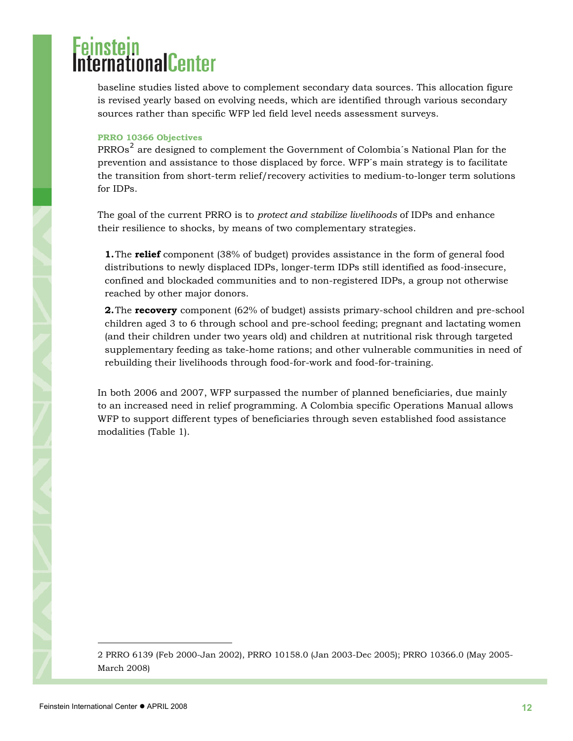# rnationalCenter

baseline studies listed above to complement secondary data sources. This allocation figure is revised yearly based on evolving needs, which are identified through various secondary sources rather than specific WFP led field level needs assessment surveys.

#### **PRRO 10366 Objectives**

PRROs<sup>[2](#page-11-0)</sup> are designed to complement the Government of Colombia<sup>s</sup> National Plan for the prevention and assistance to those displaced by force. WFP´s main strategy is to facilitate the transition from short-term relief/recovery activities to medium-to-longer term solutions for IDPs.

The goal of the current PRRO is to *protect and stabilize livelihoods* of IDPs and enhance their resilience to shocks, by means of two complementary strategies.

**1.**The **relief** component (38% of budget) provides assistance in the form of general food distributions to newly displaced IDPs, longer-term IDPs still identified as food-insecure, confined and blockaded communities and to non-registered IDPs, a group not otherwise reached by other major donors.

**2.**The **recovery** component (62% of budget) assists primary-school children and pre-school children aged 3 to 6 through school and pre-school feeding; pregnant and lactating women (and their children under two years old) and children at nutritional risk through targeted supplementary feeding as take-home rations; and other vulnerable communities in need of rebuilding their livelihoods through food-for-work and food-for-training.

In both 2006 and 2007, WFP surpassed the number of planned beneficiaries, due mainly to an increased need in relief programming. A Colombia specific Operations Manual allows WFP to support different types of beneficiaries through seven established food assistance modalities (Table 1).

l

<span id="page-11-0"></span><sup>2</sup> PRRO 6139 (Feb 2000-Jan 2002), PRRO 10158.0 (Jan 2003-Dec 2005); PRRO 10366.0 (May 2005- March 2008)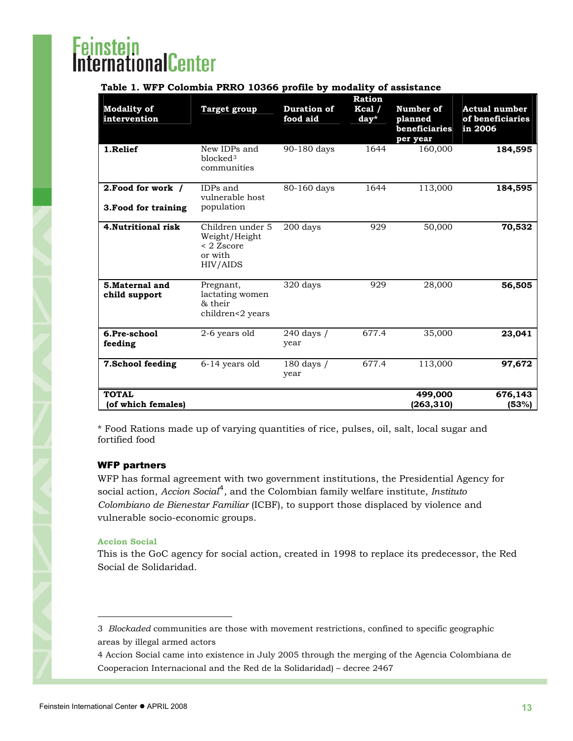# <span id="page-12-0"></span>i<mark>nstein</mark><br>ernationalCenter

| <b>Modality of</b><br>intervention         | <b>Target group</b>                                                    | Duration of<br>food aid | <b>Ration</b><br>$Kcal$ /<br>day* | Number of<br>planned<br>beneficiaries<br>per year | <b>Actual number</b><br>of beneficiaries<br>in 2006 |
|--------------------------------------------|------------------------------------------------------------------------|-------------------------|-----------------------------------|---------------------------------------------------|-----------------------------------------------------|
| 1.Relief                                   | New IDPs and<br>blocked <sup>3</sup><br>communities                    | 90-180 days             | 1644                              | 160,000                                           | 184,595                                             |
| 2. Food for work /<br>3. Food for training | IDPs and<br>vulnerable host<br>population                              | 80-160 days             | 1644                              | 113,000                                           | 184,595                                             |
| 4. Nutritional risk                        | Children under 5<br>Weight/Height<br>< 2 Zscore<br>or with<br>HIV/AIDS | 200 days                | 929                               | 50,000                                            | 70,532                                              |
| 5. Maternal and<br>child support           | Pregnant,<br>lactating women<br>& their<br>children<2 years            | 320 days                | 929                               | 28,000                                            | 56,505                                              |
| 6.Pre-school<br>feeding                    | 2-6 years old                                                          | 240 days /<br>year      | 677.4                             | 35,000                                            | 23,041                                              |
| 7.School feeding                           | 6-14 years old                                                         | 180 days /<br>year      | 677.4                             | 113,000                                           | 97,672                                              |
| <b>TOTAL</b><br>(of which females)         |                                                                        |                         |                                   | 499,000<br>(263,310)                              | 676,143<br>(53%)                                    |

\* Food Rations made up of varying quantities of rice, pulses, oil, salt, local sugar and fortified food

### WFP partners

WFP has formal agreement with two government institutions, the Presidential Agency for social action, *Accion Social*[4](#page-12-2) *,* and the Colombian family welfare institute, *Instituto Colombiano de Bienestar Familiar* (ICBF), to support those displaced by violence and vulnerable socio-economic groups.

#### **Accion Social**

This is the GoC agency for social action, created in 1998 to replace its predecessor, the Red Social de Solidaridad.

 $\overline{a}$ 

<span id="page-12-1"></span><sup>3</sup> *Blockaded* communities are those with movement restrictions, confined to specific geographic areas by illegal armed actors

<span id="page-12-2"></span><sup>4</sup> Accion Social came into existence in July 2005 through the merging of the Agencia Colombiana de Cooperacion Internacional and the Red de la Solidaridad) – decree 2467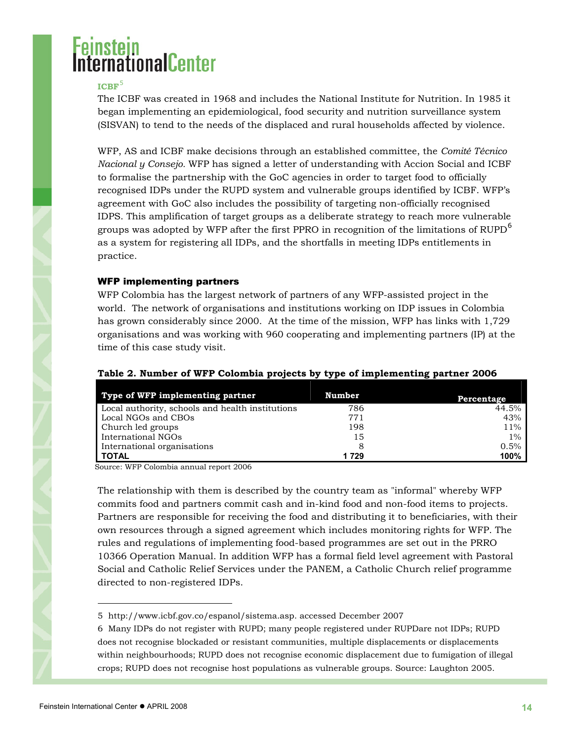# <span id="page-13-0"></span>ernationalCenter

#### **ICBF**[5](#page-13-1)

The ICBF was created in 1968 and includes the National Institute for Nutrition. In 1985 it began implementing an epidemiological, food security and nutrition surveillance system (SISVAN) to tend to the needs of the displaced and rural households affected by violence.

WFP, AS and ICBF make decisions through an established committee, the *Comité Técnico Nacional y Consejo.* WFP has signed a letter of understanding with Accion Social and ICBF to formalise the partnership with the GoC agencies in order to target food to officially recognised IDPs under the RUPD system and vulnerable groups identified by ICBF. WFP's agreement with GoC also includes the possibility of targeting non-officially recognised IDPS. This amplification of target groups as a deliberate strategy to reach more vulnerable groups was adopted by WFP after the first PPRO in recognition of the limitations of  $RUPD<sup>6</sup>$  $RUPD<sup>6</sup>$  $RUPD<sup>6</sup>$ as a system for registering all IDPs, and the shortfalls in meeting IDPs entitlements in practice.

### WFP implementing partners

WFP Colombia has the largest network of partners of any WFP-assisted project in the world. The network of organisations and institutions working on IDP issues in Colombia has grown considerably since 2000. At the time of the mission, WFP has links with 1,729 organisations and was working with 960 cooperating and implementing partners (IP) at the time of this case study visit.

| Type of WFP implementing partner                 | Number | Percentage |
|--------------------------------------------------|--------|------------|
| Local authority, schools and health institutions | 786    | 44.5%      |
| Local NGOs and CBOs                              | 771    | 43%        |
| Church led groups                                | 198    | 11%        |
| International NGOs                               | 15     | $1\%$      |
| International organisations                      | 8      | 0.5%       |
| <b>TOTAL</b>                                     | 1729   | 100%       |

#### **Table 2. Number of WFP Colombia projects by type of implementing partner 2006**

Source: WFP Colombia annual report 2006

The relationship with them is described by the country team as "informal" whereby WFP commits food and partners commit cash and in-kind food and non-food items to projects. Partners are responsible for receiving the food and distributing it to beneficiaries, with their own resources through a signed agreement which includes monitoring rights for WFP. The rules and regulations of implementing food-based programmes are set out in the PRRO 10366 Operation Manual. In addition WFP has a formal field level agreement with Pastoral Social and Catholic Relief Services under the PANEM, a Catholic Church relief programme directed to non-registered IDPs.

l

<span id="page-13-1"></span><sup>5</sup> [http://www.icbf.gov.co/espanol/sistema.asp.](http://www.icbf.gov.co/espanol/sistema.asp) accessed December 2007

<span id="page-13-2"></span><sup>6</sup> Many IDPs do not register with RUPD; many people registered under RUPDare not IDPs; RUPD does not recognise blockaded or resistant communities, multiple displacements or displacements within neighbourhoods; RUPD does not recognise economic displacement due to fumigation of illegal crops; RUPD does not recognise host populations as vulnerable groups. Source: Laughton 2005.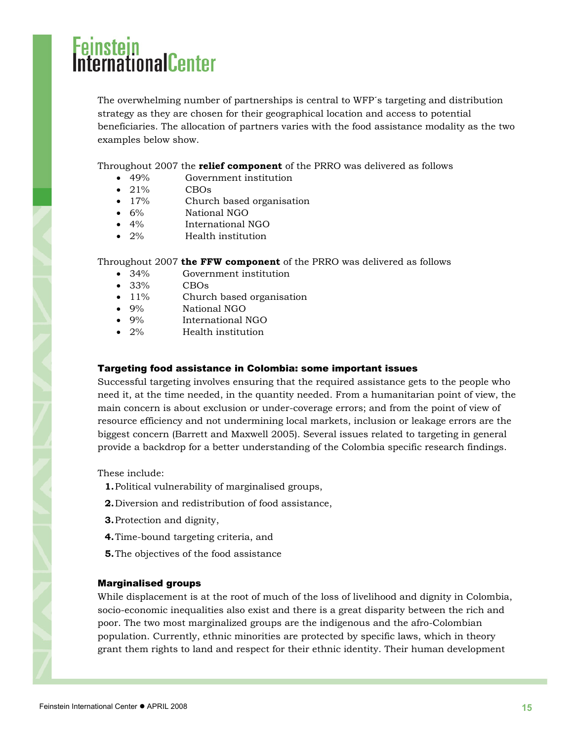# <span id="page-14-0"></span>rnationalCenter

The overwhelming number of partnerships is central to WFP´s targeting and distribution strategy as they are chosen for their geographical location and access to potential beneficiaries. The allocation of partners varies with the food assistance modality as the two examples below show.

Throughout 2007 the **relief component** of the PRRO was delivered as follows

- 49% Government institution
- $\bullet$  21% CBOs
- 17% Church based organisation
- 6% National NGO
- 4% International NGO
- 2% Health institution

#### Throughout 2007 **the FFW component** of the PRRO was delivered as follows

- 34% Government institution
- $\bullet$  33% CBOs
- 11% Church based organisation
- 9% National NGO
- 9% International NGO
- 2% Health institution

#### Targeting food assistance in Colombia: some important issues

Successful targeting involves ensuring that the required assistance gets to the people who need it, at the time needed, in the quantity needed. From a humanitarian point of view, the main concern is about exclusion or under-coverage errors; and from the point of view of resource efficiency and not undermining local markets, inclusion or leakage errors are the biggest concern (Barrett and Maxwell 2005). Several issues related to targeting in general provide a backdrop for a better understanding of the Colombia specific research findings.

These include:

- **1.**Political vulnerability of marginalised groups,
- **2.**Diversion and redistribution of food assistance,
- **3.**Protection and dignity,
- **4.**Time-bound targeting criteria, and
- **5.**The objectives of the food assistance

#### Marginalised groups

While displacement is at the root of much of the loss of livelihood and dignity in Colombia, socio-economic inequalities also exist and there is a great disparity between the rich and poor. The two most marginalized groups are the indigenous and the afro-Colombian population. Currently, ethnic minorities are protected by specific laws, which in theory grant them rights to land and respect for their ethnic identity. Their human development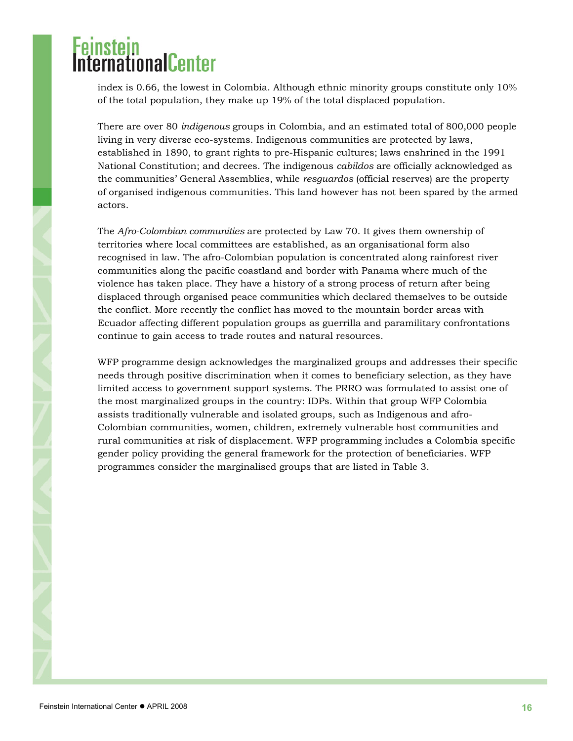# **Experiment Center**

index is 0.66, the lowest in Colombia. Although ethnic minority groups constitute only 10% of the total population, they make up 19% of the total displaced population.

There are over 80 *indigenous* groups in Colombia, and an estimated total of 800,000 people living in very diverse eco-systems. Indigenous communities are protected by laws, established in 1890, to grant rights to pre-Hispanic cultures; laws enshrined in the 1991 National Constitution; and decrees. The indigenous *cabildos* are officially acknowledged as the communities' General Assemblies, while *resguardos* (official reserves) are the property of organised indigenous communities. This land however has not been spared by the armed actors.

The *Afro-Colombian communities* are protected by Law 70. It gives them ownership of territories where local committees are established, as an organisational form also recognised in law. The afro-Colombian population is concentrated along rainforest river communities along the pacific coastland and border with Panama where much of the violence has taken place. They have a history of a strong process of return after being displaced through organised peace communities which declared themselves to be outside the conflict. More recently the conflict has moved to the mountain border areas with Ecuador affecting different population groups as guerrilla and paramilitary confrontations continue to gain access to trade routes and natural resources.

WFP programme design acknowledges the marginalized groups and addresses their specific needs through positive discrimination when it comes to beneficiary selection, as they have limited access to government support systems. The PRRO was formulated to assist one of the most marginalized groups in the country: IDPs. Within that group WFP Colombia assists traditionally vulnerable and isolated groups, such as Indigenous and afro-Colombian communities, women, children, extremely vulnerable host communities and rural communities at risk of displacement. WFP programming includes a Colombia specific gender policy providing the general framework for the protection of beneficiaries. WFP programmes consider the marginalised groups that are listed in Table 3.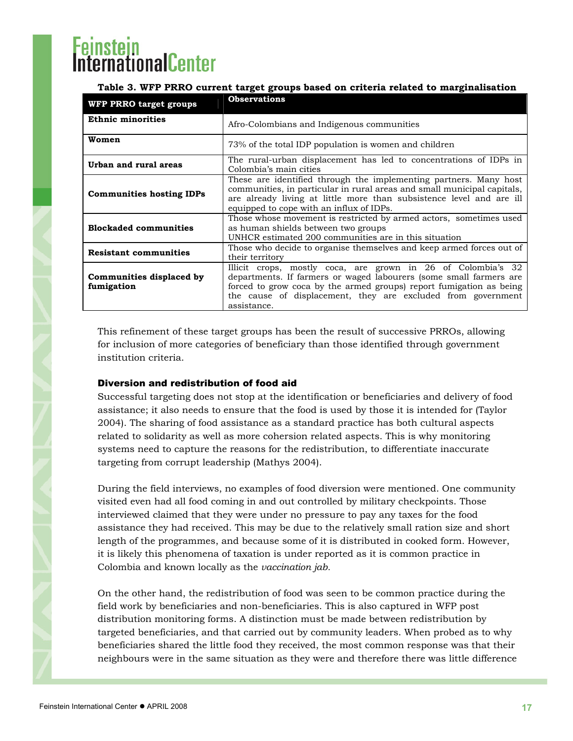# <span id="page-16-0"></span>nationalCenter

### **Table 3. WFP PRRO current target groups based on criteria related to marginalisation**

| WFP PRRO target groups                 | <b>Observations</b>                                                                                                                                                                                                                                                                      |
|----------------------------------------|------------------------------------------------------------------------------------------------------------------------------------------------------------------------------------------------------------------------------------------------------------------------------------------|
| <b>Ethnic minorities</b>               | Afro-Colombians and Indigenous communities                                                                                                                                                                                                                                               |
| Women                                  | 73% of the total IDP population is women and children                                                                                                                                                                                                                                    |
| Urban and rural areas                  | The rural-urban displacement has led to concentrations of IDPs in<br>Colombia's main cities                                                                                                                                                                                              |
| <b>Communities hosting IDPs</b>        | These are identified through the implementing partners. Many host<br>communities, in particular in rural areas and small municipal capitals,<br>are already living at little more than subsistence level and are ill<br>equipped to cope with an influx of IDPs.                         |
| <b>Blockaded communities</b>           | Those whose movement is restricted by armed actors, sometimes used<br>as human shields between two groups<br>UNHCR estimated 200 communities are in this situation                                                                                                                       |
| <b>Resistant communities</b>           | Those who decide to organise themselves and keep armed forces out of<br>their territory                                                                                                                                                                                                  |
| Communities displaced by<br>fumigation | Illicit crops, mostly coca, are grown in 26 of Colombia's 32<br>departments. If farmers or waged labourers (some small farmers are<br>forced to grow coca by the armed groups) report fumigation as being<br>the cause of displacement, they are excluded from government<br>assistance. |

This refinement of these target groups has been the result of successive PRROs, allowing for inclusion of more categories of beneficiary than those identified through government institution criteria.

### Diversion and redistribution of food aid

Successful targeting does not stop at the identification or beneficiaries and delivery of food assistance; it also needs to ensure that the food is used by those it is intended for (Taylor 2004). The sharing of food assistance as a standard practice has both cultural aspects related to solidarity as well as more cohersion related aspects. This is why monitoring systems need to capture the reasons for the redistribution, to differentiate inaccurate targeting from corrupt leadership (Mathys 2004).

During the field interviews, no examples of food diversion were mentioned. One community visited even had all food coming in and out controlled by military checkpoints. Those interviewed claimed that they were under no pressure to pay any taxes for the food assistance they had received. This may be due to the relatively small ration size and short length of the programmes, and because some of it is distributed in cooked form. However, it is likely this phenomena of taxation is under reported as it is common practice in Colombia and known locally as the *vaccination jab.*

On the other hand, the redistribution of food was seen to be common practice during the field work by beneficiaries and non-beneficiaries. This is also captured in WFP post distribution monitoring forms. A distinction must be made between redistribution by targeted beneficiaries, and that carried out by community leaders. When probed as to why beneficiaries shared the little food they received, the most common response was that their neighbours were in the same situation as they were and therefore there was little difference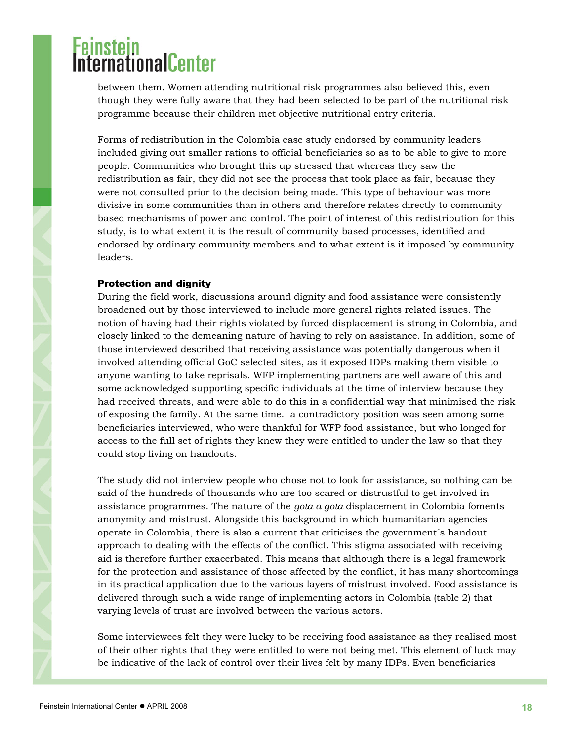<span id="page-17-0"></span>between them. Women attending nutritional risk programmes also believed this, even though they were fully aware that they had been selected to be part of the nutritional risk programme because their children met objective nutritional entry criteria.

Forms of redistribution in the Colombia case study endorsed by community leaders included giving out smaller rations to official beneficiaries so as to be able to give to more people. Communities who brought this up stressed that whereas they saw the redistribution as fair, they did not see the process that took place as fair, because they were not consulted prior to the decision being made. This type of behaviour was more divisive in some communities than in others and therefore relates directly to community based mechanisms of power and control. The point of interest of this redistribution for this study, is to what extent it is the result of community based processes, identified and endorsed by ordinary community members and to what extent is it imposed by community leaders.

#### Protection and dignity

During the field work, discussions around dignity and food assistance were consistently broadened out by those interviewed to include more general rights related issues. The notion of having had their rights violated by forced displacement is strong in Colombia, and closely linked to the demeaning nature of having to rely on assistance. In addition, some of those interviewed described that receiving assistance was potentially dangerous when it involved attending official GoC selected sites, as it exposed IDPs making them visible to anyone wanting to take reprisals. WFP implementing partners are well aware of this and some acknowledged supporting specific individuals at the time of interview because they had received threats, and were able to do this in a confidential way that minimised the risk of exposing the family. At the same time. a contradictory position was seen among some beneficiaries interviewed, who were thankful for WFP food assistance, but who longed for access to the full set of rights they knew they were entitled to under the law so that they could stop living on handouts.

The study did not interview people who chose not to look for assistance, so nothing can be said of the hundreds of thousands who are too scared or distrustful to get involved in assistance programmes. The nature of the *gota a gota* displacement in Colombia foments anonymity and mistrust. Alongside this background in which humanitarian agencies operate in Colombia, there is also a current that criticises the government´s handout approach to dealing with the effects of the conflict. This stigma associated with receiving aid is therefore further exacerbated. This means that although there is a legal framework for the protection and assistance of those affected by the conflict, it has many shortcomings in its practical application due to the various layers of mistrust involved. Food assistance is delivered through such a wide range of implementing actors in Colombia (table 2) that varying levels of trust are involved between the various actors.

Some interviewees felt they were lucky to be receiving food assistance as they realised most of their other rights that they were entitled to were not being met. This element of luck may be indicative of the lack of control over their lives felt by many IDPs. Even beneficiaries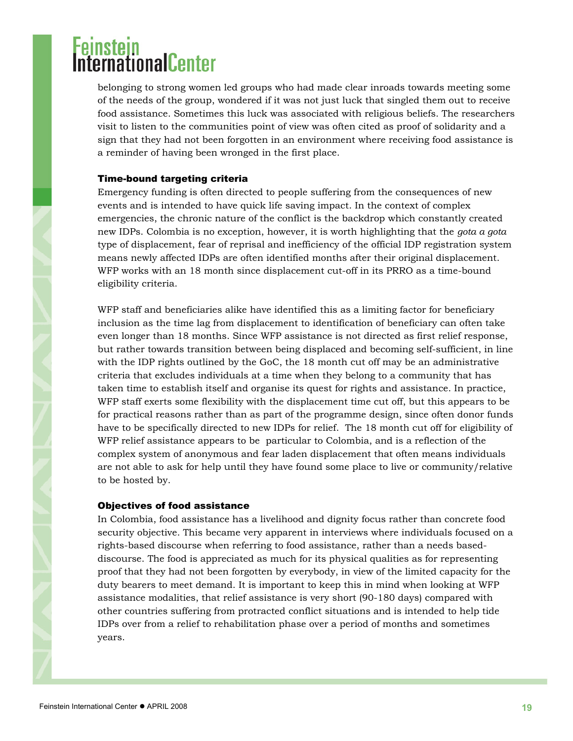# <span id="page-18-0"></span>**Example 10**<br>CernationalCenter

belonging to strong women led groups who had made clear inroads towards meeting some of the needs of the group, wondered if it was not just luck that singled them out to receive food assistance. Sometimes this luck was associated with religious beliefs. The researchers visit to listen to the communities point of view was often cited as proof of solidarity and a sign that they had not been forgotten in an environment where receiving food assistance is a reminder of having been wronged in the first place.

#### Time-bound targeting criteria

Emergency funding is often directed to people suffering from the consequences of new events and is intended to have quick life saving impact. In the context of complex emergencies, the chronic nature of the conflict is the backdrop which constantly created new IDPs. Colombia is no exception, however, it is worth highlighting that the *gota a gota*  type of displacement, fear of reprisal and inefficiency of the official IDP registration system means newly affected IDPs are often identified months after their original displacement. WFP works with an 18 month since displacement cut-off in its PRRO as a time-bound eligibility criteria.

WFP staff and beneficiaries alike have identified this as a limiting factor for beneficiary inclusion as the time lag from displacement to identification of beneficiary can often take even longer than 18 months. Since WFP assistance is not directed as first relief response, but rather towards transition between being displaced and becoming self-sufficient, in line with the IDP rights outlined by the GoC, the 18 month cut off may be an administrative criteria that excludes individuals at a time when they belong to a community that has taken time to establish itself and organise its quest for rights and assistance. In practice, WFP staff exerts some flexibility with the displacement time cut off, but this appears to be for practical reasons rather than as part of the programme design, since often donor funds have to be specifically directed to new IDPs for relief. The 18 month cut off for eligibility of WFP relief assistance appears to be particular to Colombia, and is a reflection of the complex system of anonymous and fear laden displacement that often means individuals are not able to ask for help until they have found some place to live or community/relative to be hosted by.

### Objectives of food assistance

In Colombia, food assistance has a livelihood and dignity focus rather than concrete food security objective. This became very apparent in interviews where individuals focused on a rights-based discourse when referring to food assistance, rather than a needs baseddiscourse. The food is appreciated as much for its physical qualities as for representing proof that they had not been forgotten by everybody, in view of the limited capacity for the duty bearers to meet demand. It is important to keep this in mind when looking at WFP assistance modalities, that relief assistance is very short (90-180 days) compared with other countries suffering from protracted conflict situations and is intended to help tide IDPs over from a relief to rehabilitation phase over a period of months and sometimes years.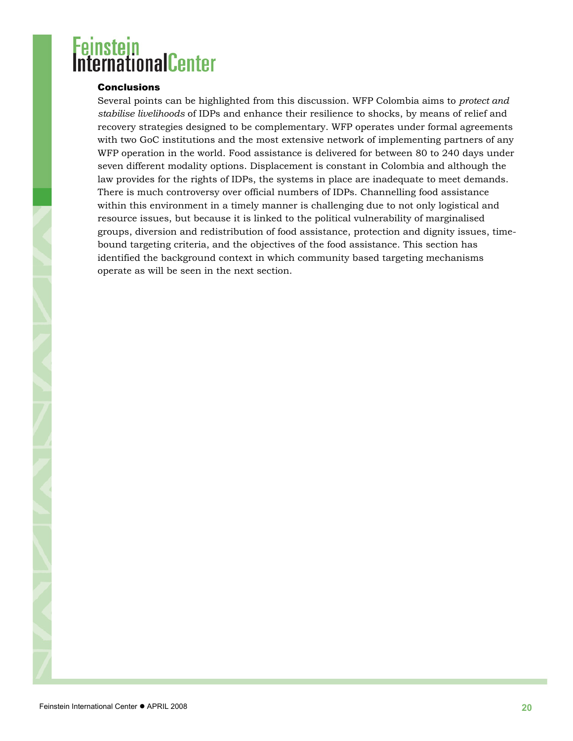#### <span id="page-19-0"></span>**Conclusions**

Several points can be highlighted from this discussion. WFP Colombia aims to *protect and stabilise livelihoods* of IDPs and enhance their resilience to shocks, by means of relief and recovery strategies designed to be complementary. WFP operates under formal agreements with two GoC institutions and the most extensive network of implementing partners of any WFP operation in the world. Food assistance is delivered for between 80 to 240 days under seven different modality options. Displacement is constant in Colombia and although the law provides for the rights of IDPs, the systems in place are inadequate to meet demands. There is much controversy over official numbers of IDPs. Channelling food assistance within this environment in a timely manner is challenging due to not only logistical and resource issues, but because it is linked to the political vulnerability of marginalised groups, diversion and redistribution of food assistance, protection and dignity issues, timebound targeting criteria, and the objectives of the food assistance. This section has identified the background context in which community based targeting mechanisms operate as will be seen in the next section.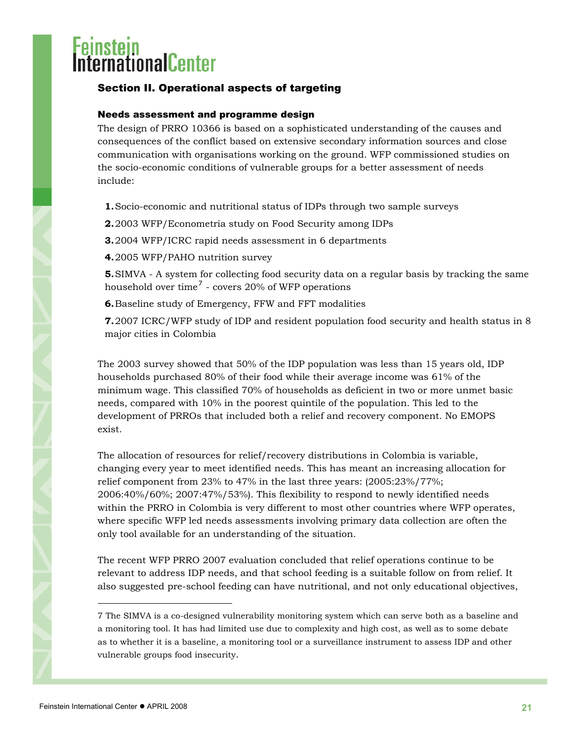# <span id="page-20-0"></span><mark>einstein</mark><br>1ternationalCenter

### Section II. Operational aspects of targeting

### Needs assessment and programme design

The design of PRRO 10366 is based on a sophisticated understanding of the causes and consequences of the conflict based on extensive secondary information sources and close communication with organisations working on the ground. WFP commissioned studies on the socio-economic conditions of vulnerable groups for a better assessment of needs include:

**1.**Socio-economic and nutritional status of IDPs through two sample surveys

**2.**2003 WFP/Econometria study on Food Security among IDPs

**3.**2004 WFP/ICRC rapid needs assessment in 6 departments

**4.**2005 WFP/PAHO nutrition survey

**5.**SIMVA - A system for collecting food security data on a regular basis by tracking the same household over time<sup>[7](#page-20-1)</sup> - covers 20% of WFP operations

**6.**Baseline study of Emergency, FFW and FFT modalities

**7.**2007 ICRC/WFP study of IDP and resident population food security and health status in 8 major cities in Colombia

The 2003 survey showed that 50% of the IDP population was less than 15 years old, IDP households purchased 80% of their food while their average income was 61% of the minimum wage. This classified 70% of households as deficient in two or more unmet basic needs, compared with 10% in the poorest quintile of the population. This led to the development of PRROs that included both a relief and recovery component. No EMOPS exist.

The allocation of resources for relief/recovery distributions in Colombia is variable, changing every year to meet identified needs. This has meant an increasing allocation for relief component from 23% to 47% in the last three years: (2005:23%/77%; 2006:40%/60%; 2007:47%/53%). This flexibility to respond to newly identified needs within the PRRO in Colombia is very different to most other countries where WFP operates, where specific WFP led needs assessments involving primary data collection are often the only tool available for an understanding of the situation.

The recent WFP PRRO 2007 evaluation concluded that relief operations continue to be relevant to address IDP needs, and that school feeding is a suitable follow on from relief. It also suggested pre-school feeding can have nutritional, and not only educational objectives,

l

<span id="page-20-1"></span><sup>7</sup> The SIMVA is a co-designed vulnerability monitoring system which can serve both as a baseline and a monitoring tool. It has had limited use due to complexity and high cost, as well as to some debate as to whether it is a baseline, a monitoring tool or a surveillance instrument to assess IDP and other vulnerable groups food insecurity.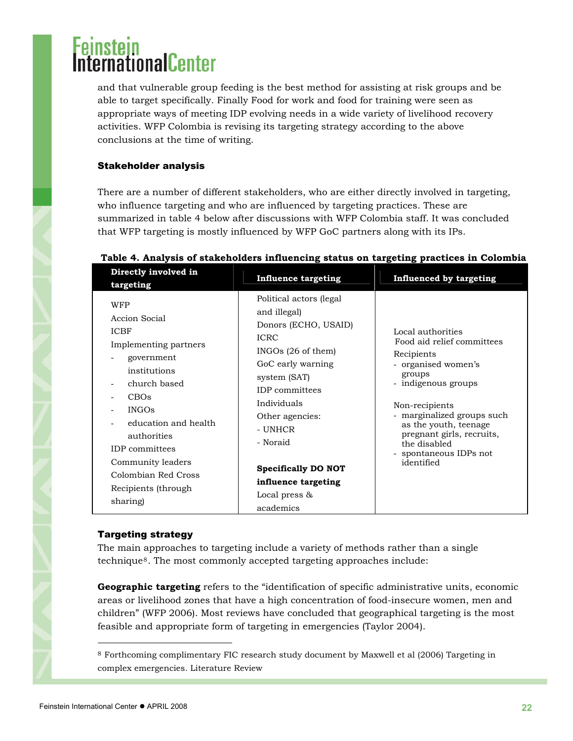# <span id="page-21-0"></span>rnationalCenter

and that vulnerable group feeding is the best method for assisting at risk groups and be able to target specifically. Finally Food for work and food for training were seen as appropriate ways of meeting IDP evolving needs in a wide variety of livelihood recovery activities. WFP Colombia is revising its targeting strategy according to the above conclusions at the time of writing.

### Stakeholder analysis

There are a number of different stakeholders, who are either directly involved in targeting, who influence targeting and who are influenced by targeting practices. These are summarized in table 4 below after discussions with WFP Colombia staff. It was concluded that WFP targeting is mostly influenced by WFP GoC partners along with its IPs.

| Directly involved in<br>targeting                                                                                                                                                                                                                                                         | <b>Influence targeting</b>                                                                                                                                                                                                                                                                                          | <b>Influenced by targeting</b>                                                                                                                                                                                                                                                    |
|-------------------------------------------------------------------------------------------------------------------------------------------------------------------------------------------------------------------------------------------------------------------------------------------|---------------------------------------------------------------------------------------------------------------------------------------------------------------------------------------------------------------------------------------------------------------------------------------------------------------------|-----------------------------------------------------------------------------------------------------------------------------------------------------------------------------------------------------------------------------------------------------------------------------------|
| <b>WFP</b><br>Accion Social<br><b>ICBF</b><br>Implementing partners<br>government<br>institutions<br>church based<br>CBOs<br><b>INGOs</b><br>education and health<br>authorities<br><b>IDP</b> committees<br>Community leaders<br>Colombian Red Cross<br>Recipients (through)<br>sharing) | Political actors (legal<br>and illegal)<br>Donors (ECHO, USAID)<br><b>ICRC</b><br>$INGOs$ (26 of them)<br>GoC early warning<br>system (SAT)<br><b>IDP</b> committees<br>Individuals<br>Other agencies:<br>- UNHCR<br>- Noraid<br><b>Specifically DO NOT</b><br>influence targeting<br>Local press $\&$<br>academics | Local authorities<br>Food aid relief committees<br>Recipients<br>- organised women's<br>groups<br>- indigenous groups<br>Non-recipients<br>marginalized groups such<br>as the youth, teenage<br>pregnant girls, recruits,<br>the disabled<br>- spontaneous IDPs not<br>identified |

#### **Table 4. Analysis of stakeholders influencing status on targeting practices in Colombia**

### Targeting strategy

The main approaches to targeting include a variety of methods rather than a single technique[8](#page-21-1). The most commonly accepted targeting approaches include:

**Geographic targeting** refers to the "identification of specific administrative units, economic areas or livelihood zones that have a high concentration of food-insecure women, men and children" (WFP 2006). Most reviews have concluded that geographical targeting is the most feasible and appropriate form of targeting in emergencies (Taylor 2004).

l

<span id="page-21-1"></span><sup>8</sup> Forthcoming complimentary FIC research study document by Maxwell et al (2006) Targeting in complex emergencies. Literature Review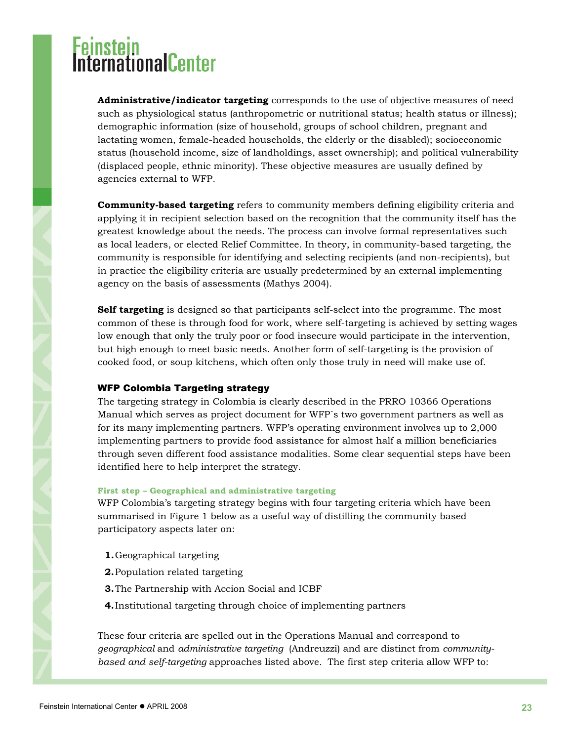# <span id="page-22-0"></span>**proximule**nter

**Administrative/indicator targeting** corresponds to the use of objective measures of need such as physiological status (anthropometric or nutritional status; health status or illness); demographic information (size of household, groups of school children, pregnant and lactating women, female-headed households, the elderly or the disabled); socioeconomic status (household income, size of landholdings, asset ownership); and political vulnerability (displaced people, ethnic minority). These objective measures are usually defined by agencies external to WFP.

**Community-based targeting** refers to community members defining eligibility criteria and applying it in recipient selection based on the recognition that the community itself has the greatest knowledge about the needs. The process can involve formal representatives such as local leaders, or elected Relief Committee. In theory, in community-based targeting, the community is responsible for identifying and selecting recipients (and non-recipients), but in practice the eligibility criteria are usually predetermined by an external implementing agency on the basis of assessments (Mathys 2004).

**Self targeting** is designed so that participants self-select into the programme. The most common of these is through food for work, where self-targeting is achieved by setting wages low enough that only the truly poor or food insecure would participate in the intervention, but high enough to meet basic needs. Another form of self-targeting is the provision of cooked food, or soup kitchens, which often only those truly in need will make use of.

### WFP Colombia Targeting strategy

The targeting strategy in Colombia is clearly described in the PRRO 10366 Operations Manual which serves as project document for WFP´s two government partners as well as for its many implementing partners. WFP's operating environment involves up to 2,000 implementing partners to provide food assistance for almost half a million beneficiaries through seven different food assistance modalities. Some clear sequential steps have been identified here to help interpret the strategy.

#### **First step – Geographical and administrative targeting**

WFP Colombia's targeting strategy begins with four targeting criteria which have been summarised in Figure 1 below as a useful way of distilling the community based participatory aspects later on:

- **1.**Geographical targeting
- **2.**Population related targeting
- **3.**The Partnership with Accion Social and ICBF
- **4.**Institutional targeting through choice of implementing partners

These four criteria are spelled out in the Operations Manual and correspond to *geographical* and *administrative targeting* (Andreuzzi) and are distinct from *communitybased and self-targeting* approaches listed above*.* The first step criteria allow WFP to: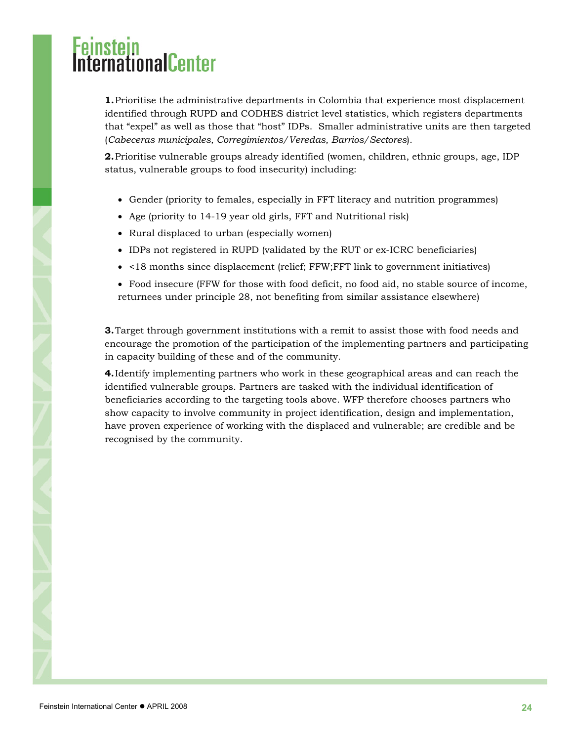# i<mark>nstein</mark><br>ernationalCenter

**1.**Prioritise the administrative departments in Colombia that experience most displacement identified through RUPD and CODHES district level statistics, which registers departments that "expel" as well as those that "host" IDPs. Smaller administrative units are then targeted (*Cabeceras municipales, Corregimientos/Veredas, Barrios/Sectores*).

**2.**Prioritise vulnerable groups already identified (women, children, ethnic groups, age, IDP status, vulnerable groups to food insecurity) including:

- Gender (priority to females, especially in FFT literacy and nutrition programmes)
- Age (priority to 14-19 year old girls, FFT and Nutritional risk)
- Rural displaced to urban (especially women)
- IDPs not registered in RUPD (validated by the RUT or ex-ICRC beneficiaries)
- <18 months since displacement (relief; FFW;FFT link to government initiatives)
- Food insecure (FFW for those with food deficit, no food aid, no stable source of income, returnees under principle 28, not benefiting from similar assistance elsewhere)

**3.**Target through government institutions with a remit to assist those with food needs and encourage the promotion of the participation of the implementing partners and participating in capacity building of these and of the community.

**4.**Identify implementing partners who work in these geographical areas and can reach the identified vulnerable groups. Partners are tasked with the individual identification of beneficiaries according to the targeting tools above. WFP therefore chooses partners who show capacity to involve community in project identification, design and implementation, have proven experience of working with the displaced and vulnerable; are credible and be recognised by the community.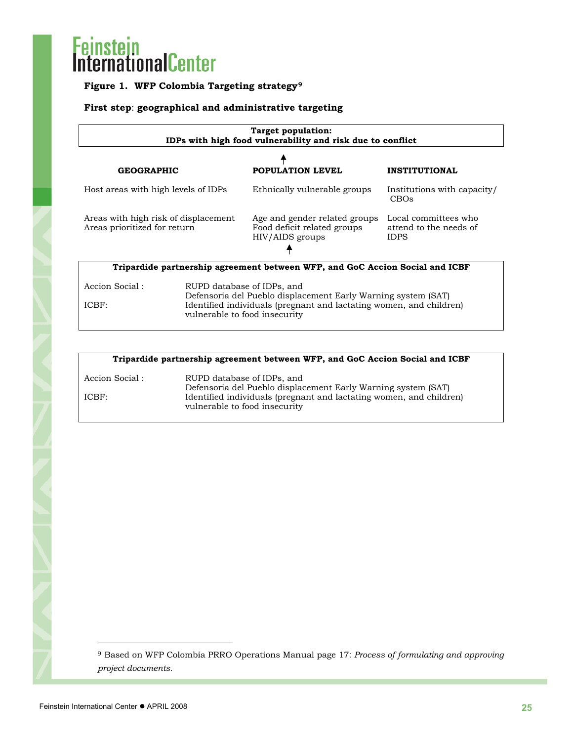### **Figure 1. WFP Colombia Targeting strategy[9](#page-24-0)**

### **First step**: **geographical and administrative targeting**

| Target population:<br>IDPs with high food vulnerability and risk due to conflict |                                                                                                                                                                                                                                                                                                        |  |  |  |
|----------------------------------------------------------------------------------|--------------------------------------------------------------------------------------------------------------------------------------------------------------------------------------------------------------------------------------------------------------------------------------------------------|--|--|--|
|                                                                                  |                                                                                                                                                                                                                                                                                                        |  |  |  |
|                                                                                  | <b>INSTITUTIONAL</b>                                                                                                                                                                                                                                                                                   |  |  |  |
| Ethnically vulnerable groups                                                     | Institutions with capacity/<br>CBO <sub>s</sub>                                                                                                                                                                                                                                                        |  |  |  |
| Age and gender related groups<br>Food deficit related groups<br>HIV/AIDS groups  | Local committees who<br>attend to the needs of<br><b>IDPS</b>                                                                                                                                                                                                                                          |  |  |  |
| Tripardide partnership agreement between WFP, and GoC Accion Social and ICBF     |                                                                                                                                                                                                                                                                                                        |  |  |  |
|                                                                                  |                                                                                                                                                                                                                                                                                                        |  |  |  |
|                                                                                  | POPULATION LEVEL<br>Host areas with high levels of IDPs<br>Areas with high risk of displacement<br>RUPD database of IDPs, and<br>Defensoria del Pueblo displacement Early Warning system (SAT)<br>Identified individuals (pregnant and lactating women, and children)<br>vulnerable to food insecurity |  |  |  |

| Tripardide partnership agreement between WFP, and GoC Accion Social and ICBF |                                                                                                      |  |  |  |
|------------------------------------------------------------------------------|------------------------------------------------------------------------------------------------------|--|--|--|
| Accion Social :                                                              | RUPD database of IDPs, and<br>Defensoria del Pueblo displacement Early Warning system (SAT)          |  |  |  |
| ICBF:                                                                        | Identified individuals (pregnant and lactating women, and children)<br>vulnerable to food insecurity |  |  |  |

l

<span id="page-24-0"></span><sup>9</sup> Based on WFP Colombia PRRO Operations Manual page 17: *Process of formulating and approving project documents.*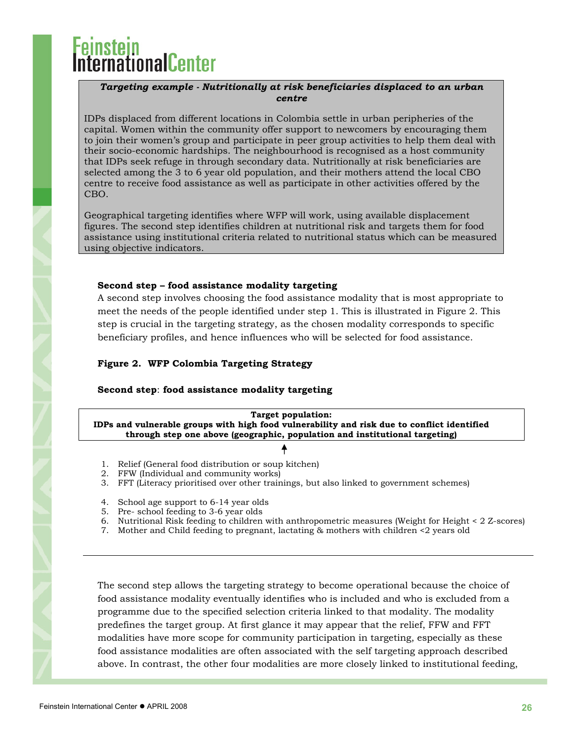# **mationalCenter**

#### *Targeting example - Nutritionally at risk beneficiaries displaced to an urban centre*

IDPs displaced from different locations in Colombia settle in urban peripheries of the capital. Women within the community offer support to newcomers by encouraging them to join their women's group and participate in peer group activities to help them deal with their socio-economic hardships. The neighbourhood is recognised as a host community that IDPs seek refuge in through secondary data. Nutritionally at risk beneficiaries are selected among the 3 to 6 year old population, and their mothers attend the local CBO centre to receive food assistance as well as participate in other activities offered by the CBO.

Geographical targeting identifies where WFP will work, using available displacement figures. The second step identifies children at nutritional risk and targets them for food assistance using institutional criteria related to nutritional status which can be measured using objective indicators.

#### **Second step – food assistance modality targeting**

A second step involves choosing the food assistance modality that is most appropriate to meet the needs of the people identified under step 1. This is illustrated in Figure 2. This step is crucial in the targeting strategy, as the chosen modality corresponds to specific beneficiary profiles, and hence influences who will be selected for food assistance.

#### **Figure 2. WFP Colombia Targeting Strategy**

#### **Second step**: **food assistance modality targeting**

**Target population: IDPs and vulnerable groups with high food vulnerability and risk due to conflict identified through step one above (geographic, population and institutional targeting)** 

- 
- 1. Relief (General food distribution or soup kitchen)
- 2. FFW (Individual and community works)
- 3. FFT (Literacy prioritised over other trainings, but also linked to government schemes)
- 4. School age support to 6-14 year olds
- 5. Pre- school feeding to 3-6 year olds
- 6. Nutritional Risk feeding to children with anthropometric measures (Weight for Height < 2 Z-scores)
- 7. Mother and Child feeding to pregnant, lactating & mothers with children <2 years old

The second step allows the targeting strategy to become operational because the choice of food assistance modality eventually identifies who is included and who is excluded from a programme due to the specified selection criteria linked to that modality. The modality predefines the target group. At first glance it may appear that the relief, FFW and FFT modalities have more scope for community participation in targeting, especially as these food assistance modalities are often associated with the self targeting approach described above. In contrast, the other four modalities are more closely linked to institutional feeding,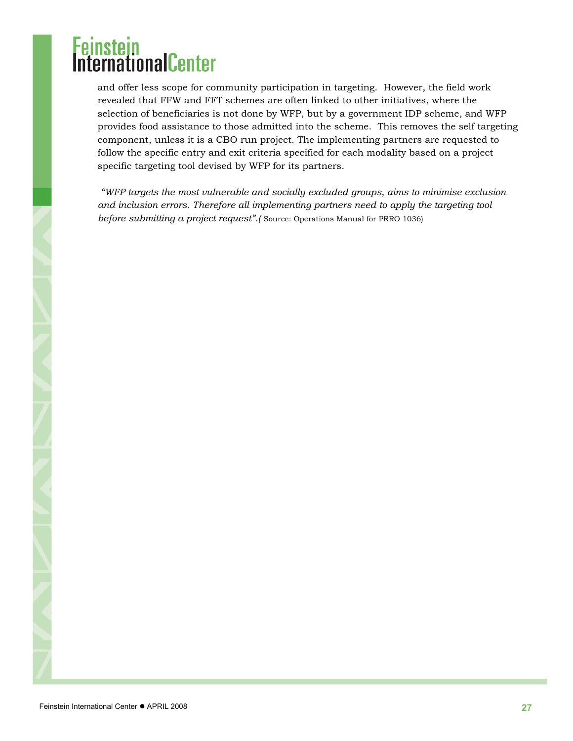and offer less scope for community participation in targeting. However, the field work revealed that FFW and FFT schemes are often linked to other initiatives, where the selection of beneficiaries is not done by WFP, but by a government IDP scheme, and WFP provides food assistance to those admitted into the scheme. This removes the self targeting component, unless it is a CBO run project. The implementing partners are requested to follow the specific entry and exit criteria specified for each modality based on a project specific targeting tool devised by WFP for its partners.

 *"WFP targets the most vulnerable and socially excluded groups, aims to minimise exclusion and inclusion errors. Therefore all implementing partners need to apply the targeting tool before submitting a project request".* (Source: Operations Manual for PRRO 1036)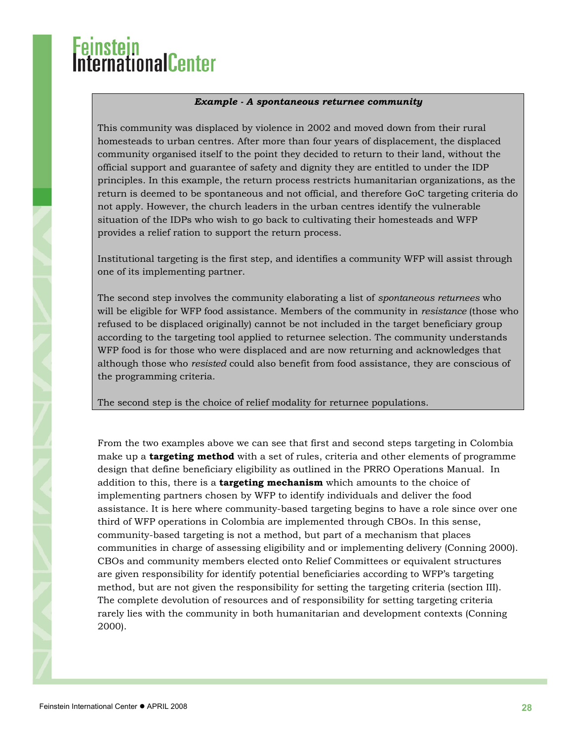# <mark>nstein</mark><br>ernationalCenter

### *Example - A spontaneous returnee community*

This community was displaced by violence in 2002 and moved down from their rural homesteads to urban centres. After more than four years of displacement, the displaced community organised itself to the point they decided to return to their land, without the official support and guarantee of safety and dignity they are entitled to under the IDP principles. In this example, the return process restricts humanitarian organizations, as the return is deemed to be spontaneous and not official, and therefore GoC targeting criteria do not apply. However, the church leaders in the urban centres identify the vulnerable situation of the IDPs who wish to go back to cultivating their homesteads and WFP provides a relief ration to support the return process.

Institutional targeting is the first step, and identifies a community WFP will assist through one of its implementing partner.

The second step involves the community elaborating a list of *spontaneous returnees* who will be eligible for WFP food assistance. Members of the community in *resistance* (those who refused to be displaced originally) cannot be not included in the target beneficiary group according to the targeting tool applied to returnee selection. The community understands WFP food is for those who were displaced and are now returning and acknowledges that although those who *resisted* could also benefit from food assistance, they are conscious of the programming criteria.

The second step is the choice of relief modality for returnee populations.

From the two examples above we can see that first and second steps targeting in Colombia make up a **targeting method** with a set of rules, criteria and other elements of programme design that define beneficiary eligibility as outlined in the PRRO Operations Manual. In addition to this, there is a **targeting mechanism** which amounts to the choice of implementing partners chosen by WFP to identify individuals and deliver the food assistance. It is here where community-based targeting begins to have a role since over one third of WFP operations in Colombia are implemented through CBOs. In this sense, community-based targeting is not a method, but part of a mechanism that places communities in charge of assessing eligibility and or implementing delivery (Conning 2000). CBOs and community members elected onto Relief Committees or equivalent structures are given responsibility for identify potential beneficiaries according to WFP's targeting method, but are not given the responsibility for setting the targeting criteria (section III). The complete devolution of resources and of responsibility for setting targeting criteria rarely lies with the community in both humanitarian and development contexts (Conning 2000).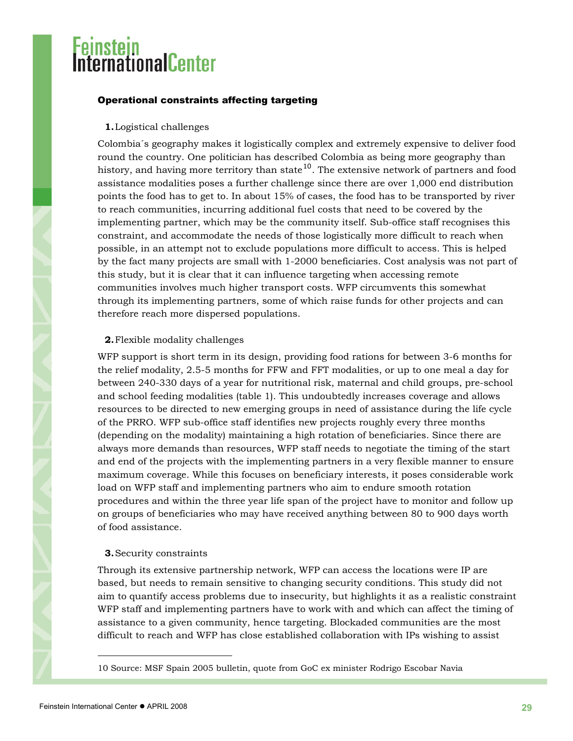### <span id="page-28-0"></span>Operational constraints affecting targeting

#### **1.**Logistical challenges

Colombia´s geography makes it logistically complex and extremely expensive to deliver food round the country. One politician has described Colombia as being more geography than history, and having more territory than state<sup>[10](#page-28-1)</sup>. The extensive network of partners and food assistance modalities poses a further challenge since there are over 1,000 end distribution points the food has to get to. In about 15% of cases, the food has to be transported by river to reach communities, incurring additional fuel costs that need to be covered by the implementing partner, which may be the community itself. Sub-office staff recognises this constraint, and accommodate the needs of those logistically more difficult to reach when possible, in an attempt not to exclude populations more difficult to access. This is helped by the fact many projects are small with 1-2000 beneficiaries. Cost analysis was not part of this study, but it is clear that it can influence targeting when accessing remote communities involves much higher transport costs. WFP circumvents this somewhat through its implementing partners, some of which raise funds for other projects and can therefore reach more dispersed populations.

#### **2.**Flexible modality challenges

WFP support is short term in its design, providing food rations for between 3-6 months for the relief modality, 2.5-5 months for FFW and FFT modalities, or up to one meal a day for between 240-330 days of a year for nutritional risk, maternal and child groups, pre-school and school feeding modalities (table 1). This undoubtedly increases coverage and allows resources to be directed to new emerging groups in need of assistance during the life cycle of the PRRO. WFP sub-office staff identifies new projects roughly every three months (depending on the modality) maintaining a high rotation of beneficiaries. Since there are always more demands than resources, WFP staff needs to negotiate the timing of the start and end of the projects with the implementing partners in a very flexible manner to ensure maximum coverage. While this focuses on beneficiary interests, it poses considerable work load on WFP staff and implementing partners who aim to endure smooth rotation procedures and within the three year life span of the project have to monitor and follow up on groups of beneficiaries who may have received anything between 80 to 900 days worth of food assistance.

#### **3.**Security constraints

Through its extensive partnership network, WFP can access the locations were IP are based, but needs to remain sensitive to changing security conditions. This study did not aim to quantify access problems due to insecurity, but highlights it as a realistic constraint WFP staff and implementing partners have to work with and which can affect the timing of assistance to a given community, hence targeting. Blockaded communities are the most difficult to reach and WFP has close established collaboration with IPs wishing to assist

l

<span id="page-28-1"></span><sup>10</sup> Source: MSF Spain 2005 bulletin, quote from GoC ex minister Rodrigo Escobar Navia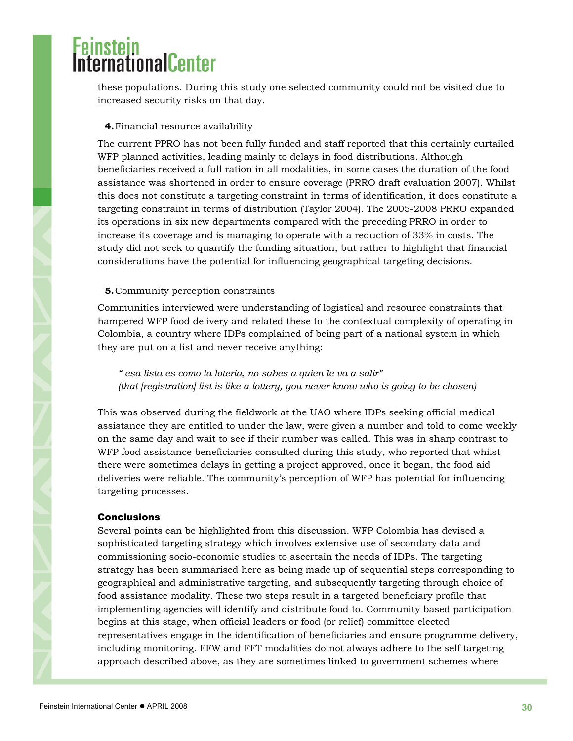# <span id="page-29-0"></span>ernationalCenter

these populations. During this study one selected community could not be visited due to increased security risks on that day.

### **4.**Financial resource availability

The current PPRO has not been fully funded and staff reported that this certainly curtailed WFP planned activities, leading mainly to delays in food distributions. Although beneficiaries received a full ration in all modalities, in some cases the duration of the food assistance was shortened in order to ensure coverage (PRRO draft evaluation 2007). Whilst this does not constitute a targeting constraint in terms of identification, it does constitute a targeting constraint in terms of distribution (Taylor 2004). The 2005-2008 PRRO expanded its operations in six new departments compared with the preceding PRRO in order to increase its coverage and is managing to operate with a reduction of 33% in costs. The study did not seek to quantify the funding situation, but rather to highlight that financial considerations have the potential for influencing geographical targeting decisions.

#### **5.**Community perception constraints

Communities interviewed were understanding of logistical and resource constraints that hampered WFP food delivery and related these to the contextual complexity of operating in Colombia, a country where IDPs complained of being part of a national system in which they are put on a list and never receive anything:

*" esa lista es como la loteria, no sabes a quien le va a salir" (that [registration] list is like a lottery, you never know who is going to be chosen)* 

This was observed during the fieldwork at the UAO where IDPs seeking official medical assistance they are entitled to under the law, were given a number and told to come weekly on the same day and wait to see if their number was called. This was in sharp contrast to WFP food assistance beneficiaries consulted during this study, who reported that whilst there were sometimes delays in getting a project approved, once it began, the food aid deliveries were reliable. The community's perception of WFP has potential for influencing targeting processes.

#### **Conclusions**

Several points can be highlighted from this discussion. WFP Colombia has devised a sophisticated targeting strategy which involves extensive use of secondary data and commissioning socio-economic studies to ascertain the needs of IDPs. The targeting strategy has been summarised here as being made up of sequential steps corresponding to geographical and administrative targeting, and subsequently targeting through choice of food assistance modality. These two steps result in a targeted beneficiary profile that implementing agencies will identify and distribute food to. Community based participation begins at this stage, when official leaders or food (or relief) committee elected representatives engage in the identification of beneficiaries and ensure programme delivery, including monitoring. FFW and FFT modalities do not always adhere to the self targeting approach described above, as they are sometimes linked to government schemes where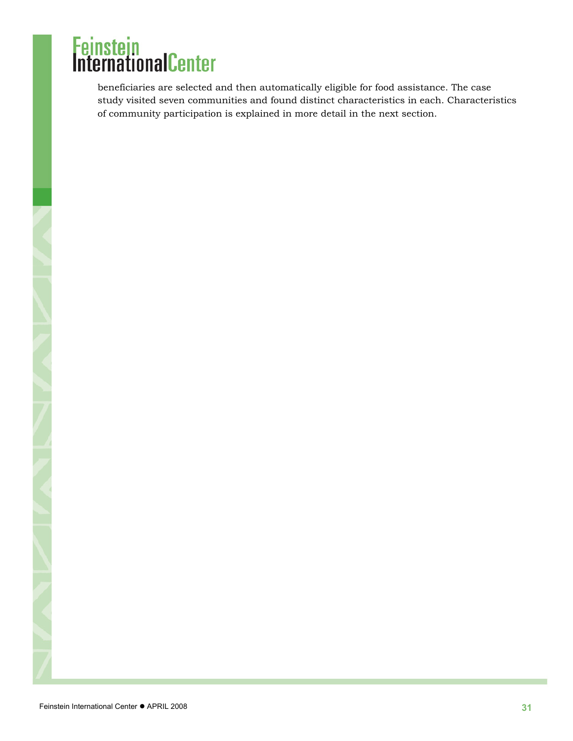beneficiaries are selected and then automatically eligible for food assistance. The case study visited seven communities and found distinct characteristics in each. Characteristics of community participation is explained in more detail in the next section.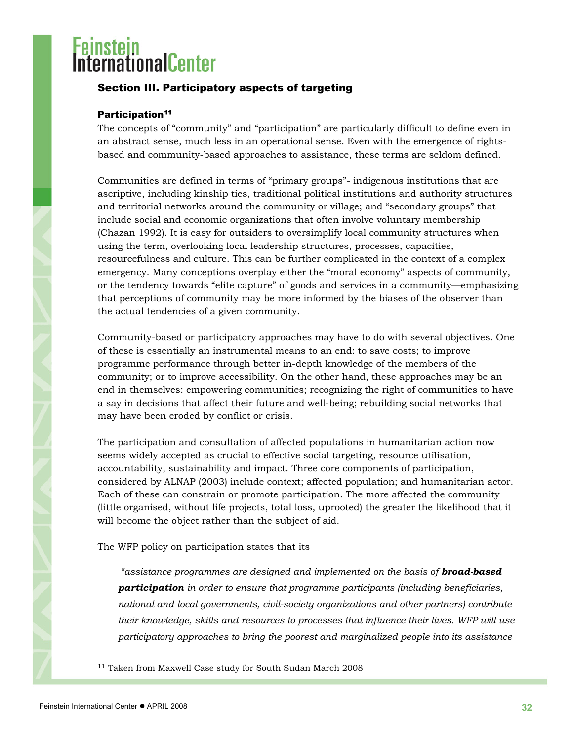# <span id="page-31-0"></span>ernationalCenter

### Section III. Participatory aspects of targeting

### Participation<sup>[11](#page-31-1)</sup>

The concepts of "community" and "participation" are particularly difficult to define even in an abstract sense, much less in an operational sense. Even with the emergence of rightsbased and community-based approaches to assistance, these terms are seldom defined.

Communities are defined in terms of "primary groups"- indigenous institutions that are ascriptive, including kinship ties, traditional political institutions and authority structures and territorial networks around the community or village; and "secondary groups" that include social and economic organizations that often involve voluntary membership (Chazan 1992). It is easy for outsiders to oversimplify local community structures when using the term, overlooking local leadership structures, processes, capacities, resourcefulness and culture. This can be further complicated in the context of a complex emergency. Many conceptions overplay either the "moral economy" aspects of community, or the tendency towards "elite capture" of goods and services in a community—emphasizing that perceptions of community may be more informed by the biases of the observer than the actual tendencies of a given community.

Community-based or participatory approaches may have to do with several objectives. One of these is essentially an instrumental means to an end: to save costs; to improve programme performance through better in-depth knowledge of the members of the community; or to improve accessibility. On the other hand, these approaches may be an end in themselves: empowering communities; recognizing the right of communities to have a say in decisions that affect their future and well-being; rebuilding social networks that may have been eroded by conflict or crisis.

The participation and consultation of affected populations in humanitarian action now seems widely accepted as crucial to effective social targeting, resource utilisation, accountability, sustainability and impact. Three core components of participation, considered by ALNAP (2003) include context; affected population; and humanitarian actor. Each of these can constrain or promote participation. The more affected the community (little organised, without life projects, total loss, uprooted) the greater the likelihood that it will become the object rather than the subject of aid.

The WFP policy on participation states that its

*"assistance programmes are designed and implemented on the basis of broad-based participation in order to ensure that programme participants (including beneficiaries, national and local governments, civil-society organizations and other partners) contribute their knowledge, skills and resources to processes that influence their lives. WFP will use participatory approaches to bring the poorest and marginalized people into its assistance* 

l

<span id="page-31-1"></span><sup>&</sup>lt;sup>11</sup> Taken from Maxwell Case study for South Sudan March 2008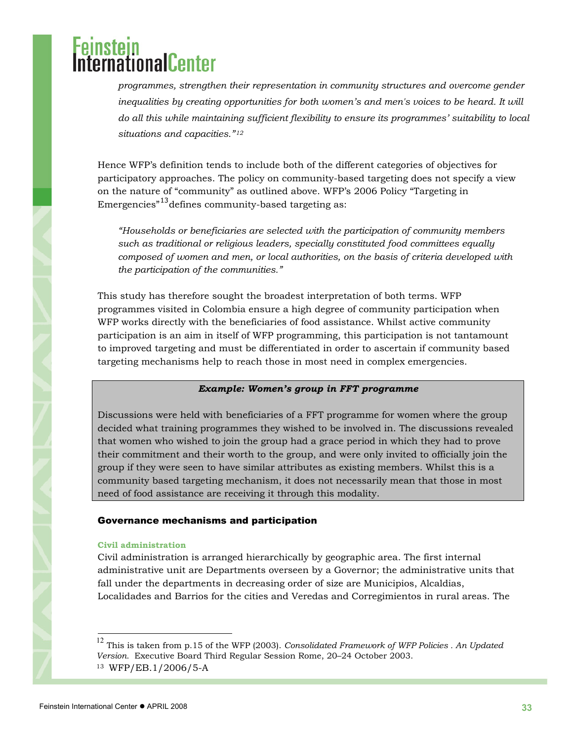# <span id="page-32-0"></span>**mationalCenter**

*programmes, strengthen their representation in community structures and overcome gender inequalities by creating opportunities for both women's and men's voices to be heard. It will do all this while maintaining sufficient flexibility to ensure its programmes' suitability to local situations and capacities."[12](#page-32-1)*

Hence WFP's definition tends to include both of the different categories of objectives for participatory approaches. The policy on community-based targeting does not specify a view on the nature of "community" as outlined above. WFP's 2006 Policy "Targeting in Emergencies<sup>"[13](#page-32-2)</sup> defines community-based targeting as:

*"Households or beneficiaries are selected with the participation of community members such as traditional or religious leaders, specially constituted food committees equally composed of women and men, or local authorities, on the basis of criteria developed with the participation of the communities."* 

This study has therefore sought the broadest interpretation of both terms. WFP programmes visited in Colombia ensure a high degree of community participation when WFP works directly with the beneficiaries of food assistance. Whilst active community participation is an aim in itself of WFP programming, this participation is not tantamount to improved targeting and must be differentiated in order to ascertain if community based targeting mechanisms help to reach those in most need in complex emergencies.

### *Example: Women's group in FFT programme*

Discussions were held with beneficiaries of a FFT programme for women where the group decided what training programmes they wished to be involved in. The discussions revealed that women who wished to join the group had a grace period in which they had to prove their commitment and their worth to the group, and were only invited to officially join the group if they were seen to have similar attributes as existing members. Whilst this is a community based targeting mechanism, it does not necessarily mean that those in most need of food assistance are receiving it through this modality.

#### Governance mechanisms and participation

#### **Civil administration**

Civil administration is arranged hierarchically by geographic area. The first internal administrative unit are Departments overseen by a Governor; the administrative units that fall under the departments in decreasing order of size are Municipios, Alcaldias, Localidades and Barrios for the cities and Veredas and Corregimientos in rural areas. The

 $\overline{a}$ 

<span id="page-32-2"></span><span id="page-32-1"></span><sup>12</sup> This is taken from p.15 of the WFP (2003). *Consolidated Framework of WFP Policies . An Updated Version.* Executive Board Third Regular Session Rome, 20–24 October 2003. 13 WFP/EB.1/2006/5-A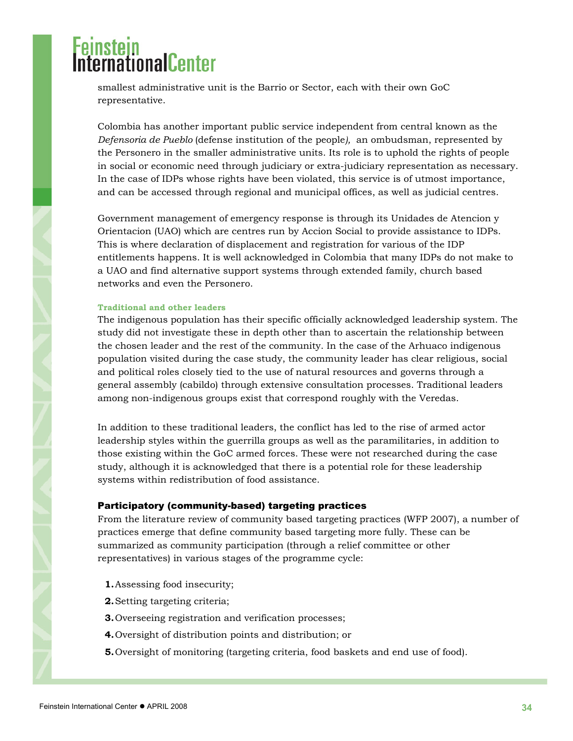# <span id="page-33-0"></span>**ernationalCenter**

smallest administrative unit is the Barrio or Sector, each with their own GoC representative.

Colombia has another important public service independent from central known as the *Defensoria de Pueblo* (defense institution of the people*),* an ombudsman, represented by the Personero in the smaller administrative units. Its role is to uphold the rights of people in social or economic need through judiciary or extra-judiciary representation as necessary. In the case of IDPs whose rights have been violated, this service is of utmost importance, and can be accessed through regional and municipal offices, as well as judicial centres.

Government management of emergency response is through its Unidades de Atencion y Orientacion (UAO) which are centres run by Accion Social to provide assistance to IDPs. This is where declaration of displacement and registration for various of the IDP entitlements happens. It is well acknowledged in Colombia that many IDPs do not make to a UAO and find alternative support systems through extended family, church based networks and even the Personero.

#### **Traditional and other leaders**

The indigenous population has their specific officially acknowledged leadership system. The study did not investigate these in depth other than to ascertain the relationship between the chosen leader and the rest of the community. In the case of the Arhuaco indigenous population visited during the case study, the community leader has clear religious, social and political roles closely tied to the use of natural resources and governs through a general assembly (cabildo) through extensive consultation processes. Traditional leaders among non-indigenous groups exist that correspond roughly with the Veredas.

In addition to these traditional leaders, the conflict has led to the rise of armed actor leadership styles within the guerrilla groups as well as the paramilitaries, in addition to those existing within the GoC armed forces. These were not researched during the case study, although it is acknowledged that there is a potential role for these leadership systems within redistribution of food assistance.

#### Participatory (community-based) targeting practices

From the literature review of community based targeting practices (WFP 2007), a number of practices emerge that define community based targeting more fully. These can be summarized as community participation (through a relief committee or other representatives) in various stages of the programme cycle:

- **1.**Assessing food insecurity;
- **2.**Setting targeting criteria;
- **3.**Overseeing registration and verification processes;
- **4.**Oversight of distribution points and distribution; or
- **5.**Oversight of monitoring (targeting criteria, food baskets and end use of food).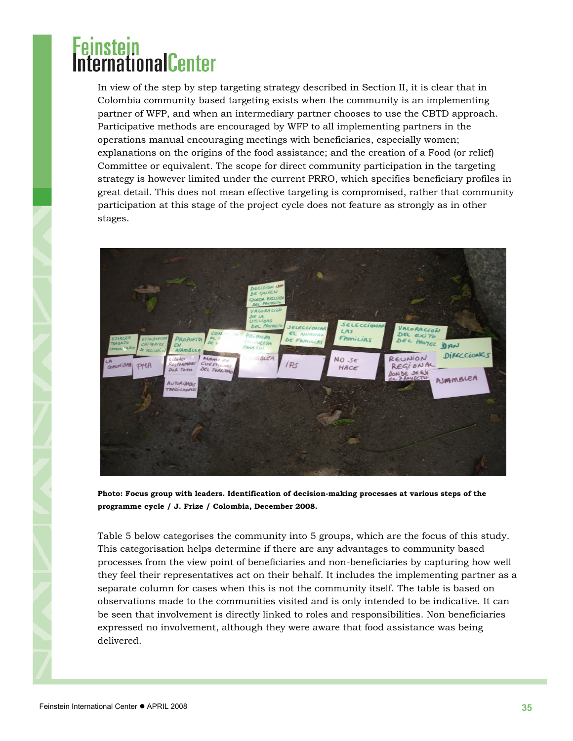### ernationalCenter

In view of the step by step targeting strategy described in Section II, it is clear that in Colombia community based targeting exists when the community is an implementing partner of WFP, and when an intermediary partner chooses to use the CBTD approach. Participative methods are encouraged by WFP to all implementing partners in the operations manual encouraging meetings with beneficiaries, especially women; explanations on the origins of the food assistance; and the creation of a Food (or relief) Committee or equivalent. The scope for direct community participation in the targeting strategy is however limited under the current PRRO, which specifies beneficiary profiles in great detail. This does not mean effective targeting is compromised, rather that community participation at this stage of the project cycle does not feature as strongly as in other stages.



**Photo: Focus group with leaders. Identification of decision-making processes at various steps of the programme cycle / J. Frize / Colombia, December 2008.** 

Table 5 below categorises the community into 5 groups, which are the focus of this study. This categorisation helps determine if there are any advantages to community based processes from the view point of beneficiaries and non-beneficiaries by capturing how well they feel their representatives act on their behalf. It includes the implementing partner as a separate column for cases when this is not the community itself. The table is based on observations made to the communities visited and is only intended to be indicative. It can be seen that involvement is directly linked to roles and responsibilities. Non beneficiaries expressed no involvement, although they were aware that food assistance was being delivered.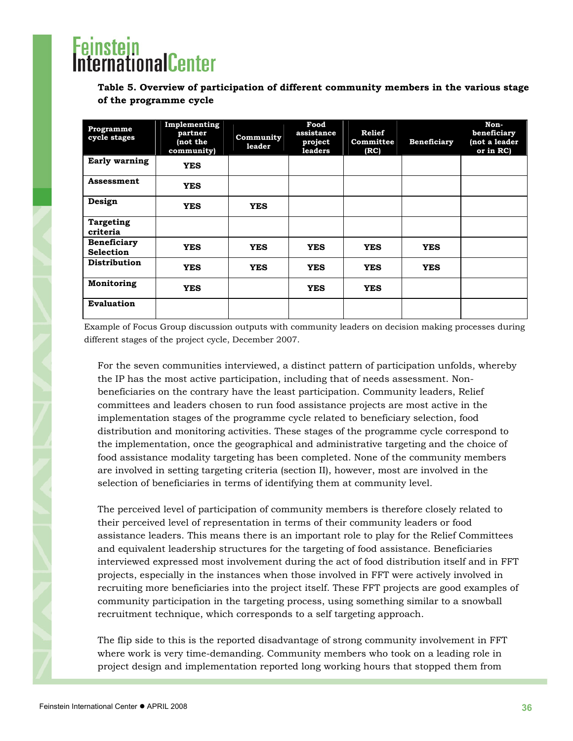# **protonicalCenter**

**Table 5. Overview of participation of different community members in the various stage of the programme cycle** 

| Programme<br>cycle stages              | Implementing<br>partner<br>(not the<br>community) | Community<br>leader | Food<br>assistance<br>project<br>leaders | Relief<br>Committee<br>(RC) | <b>Beneficiary</b> | Non-<br>beneficiary<br>not a leader<br>or in RC) |
|----------------------------------------|---------------------------------------------------|---------------------|------------------------------------------|-----------------------------|--------------------|--------------------------------------------------|
| Early warning                          | <b>YES</b>                                        |                     |                                          |                             |                    |                                                  |
| Assessment                             | <b>YES</b>                                        |                     |                                          |                             |                    |                                                  |
| Design                                 | <b>YES</b>                                        | <b>YES</b>          |                                          |                             |                    |                                                  |
| <b>Targeting</b><br>criteria           |                                                   |                     |                                          |                             |                    |                                                  |
| <b>Beneficiary</b><br><b>Selection</b> | <b>YES</b>                                        | <b>YES</b>          | <b>YES</b>                               | <b>YES</b>                  | <b>YES</b>         |                                                  |
| <b>Distribution</b>                    | <b>YES</b>                                        | <b>YES</b>          | <b>YES</b>                               | <b>YES</b>                  | <b>YES</b>         |                                                  |
| Monitoring                             | <b>YES</b>                                        |                     | <b>YES</b>                               | <b>YES</b>                  |                    |                                                  |
| <b>Evaluation</b>                      |                                                   |                     |                                          |                             |                    |                                                  |

Example of Focus Group discussion outputs with community leaders on decision making processes during different stages of the project cycle, December 2007.

For the seven communities interviewed, a distinct pattern of participation unfolds, whereby the IP has the most active participation, including that of needs assessment. Nonbeneficiaries on the contrary have the least participation. Community leaders, Relief committees and leaders chosen to run food assistance projects are most active in the implementation stages of the programme cycle related to beneficiary selection, food distribution and monitoring activities. These stages of the programme cycle correspond to the implementation, once the geographical and administrative targeting and the choice of food assistance modality targeting has been completed. None of the community members are involved in setting targeting criteria (section II), however, most are involved in the selection of beneficiaries in terms of identifying them at community level.

The perceived level of participation of community members is therefore closely related to their perceived level of representation in terms of their community leaders or food assistance leaders. This means there is an important role to play for the Relief Committees and equivalent leadership structures for the targeting of food assistance. Beneficiaries interviewed expressed most involvement during the act of food distribution itself and in FFT projects, especially in the instances when those involved in FFT were actively involved in recruiting more beneficiaries into the project itself. These FFT projects are good examples of community participation in the targeting process, using something similar to a snowball recruitment technique, which corresponds to a self targeting approach.

The flip side to this is the reported disadvantage of strong community involvement in FFT where work is very time-demanding. Community members who took on a leading role in project design and implementation reported long working hours that stopped them from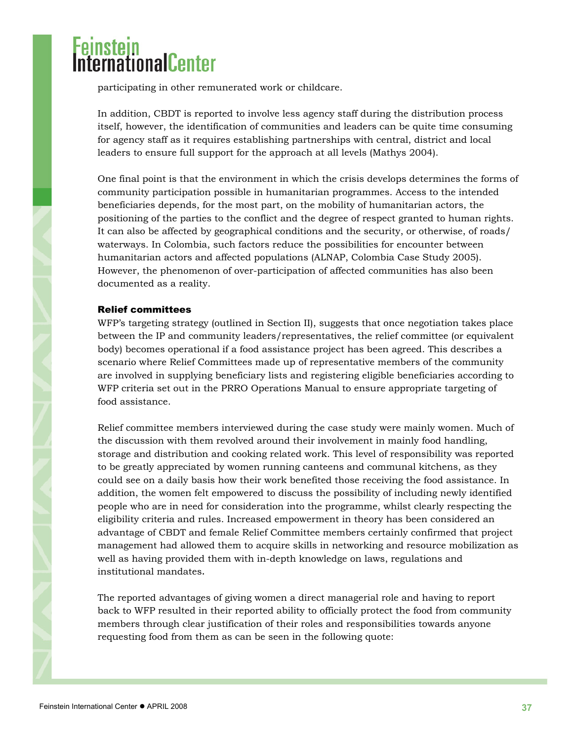<span id="page-36-0"></span>participating in other remunerated work or childcare.

In addition, CBDT is reported to involve less agency staff during the distribution process itself, however, the identification of communities and leaders can be quite time consuming for agency staff as it requires establishing partnerships with central, district and local leaders to ensure full support for the approach at all levels (Mathys 2004).

One final point is that the environment in which the crisis develops determines the forms of community participation possible in humanitarian programmes. Access to the intended beneficiaries depends, for the most part, on the mobility of humanitarian actors, the positioning of the parties to the conflict and the degree of respect granted to human rights. It can also be affected by geographical conditions and the security, or otherwise, of roads/ waterways. In Colombia, such factors reduce the possibilities for encounter between humanitarian actors and affected populations (ALNAP, Colombia Case Study 2005). However, the phenomenon of over-participation of affected communities has also been documented as a reality.

### Relief committees

WFP's targeting strategy (outlined in Section II), suggests that once negotiation takes place between the IP and community leaders/representatives, the relief committee (or equivalent body) becomes operational if a food assistance project has been agreed. This describes a scenario where Relief Committees made up of representative members of the community are involved in supplying beneficiary lists and registering eligible beneficiaries according to WFP criteria set out in the PRRO Operations Manual to ensure appropriate targeting of food assistance.

Relief committee members interviewed during the case study were mainly women. Much of the discussion with them revolved around their involvement in mainly food handling, storage and distribution and cooking related work. This level of responsibility was reported to be greatly appreciated by women running canteens and communal kitchens, as they could see on a daily basis how their work benefited those receiving the food assistance. In addition, the women felt empowered to discuss the possibility of including newly identified people who are in need for consideration into the programme, whilst clearly respecting the eligibility criteria and rules. Increased empowerment in theory has been considered an advantage of CBDT and female Relief Committee members certainly confirmed that project management had allowed them to acquire skills in networking and resource mobilization as well as having provided them with in-depth knowledge on laws, regulations and institutional mandates.

The reported advantages of giving women a direct managerial role and having to report back to WFP resulted in their reported ability to officially protect the food from community members through clear justification of their roles and responsibilities towards anyone requesting food from them as can be seen in the following quote: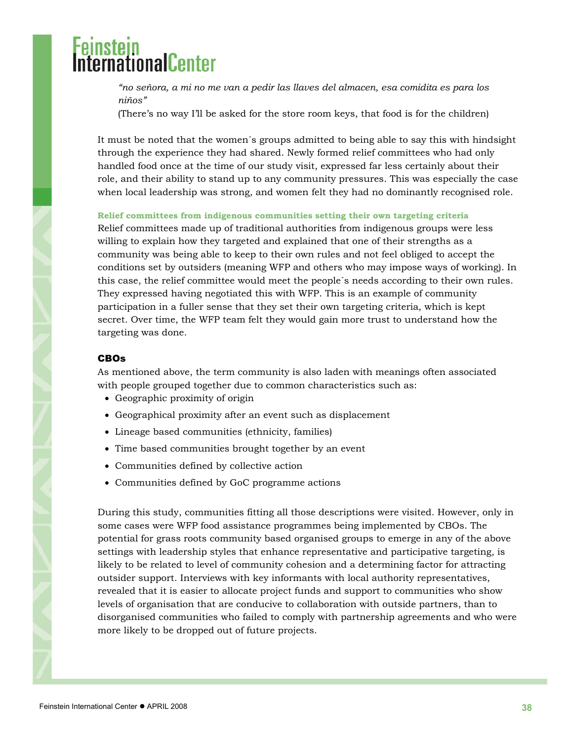<span id="page-37-0"></span>*"no señora, a mi no me van a pedir las llaves del almacen, esa comidita es para los niños"* 

(There's no way I'll be asked for the store room keys, that food is for the children)

It must be noted that the women´s groups admitted to being able to say this with hindsight through the experience they had shared. Newly formed relief committees who had only handled food once at the time of our study visit, expressed far less certainly about their role, and their ability to stand up to any community pressures. This was especially the case when local leadership was strong, and women felt they had no dominantly recognised role.

#### **Relief committees from indigenous communities setting their own targeting criteria**

Relief committees made up of traditional authorities from indigenous groups were less willing to explain how they targeted and explained that one of their strengths as a community was being able to keep to their own rules and not feel obliged to accept the conditions set by outsiders (meaning WFP and others who may impose ways of working). In this case, the relief committee would meet the people´s needs according to their own rules. They expressed having negotiated this with WFP. This is an example of community participation in a fuller sense that they set their own targeting criteria, which is kept secret. Over time, the WFP team felt they would gain more trust to understand how the targeting was done.

#### CBOs

As mentioned above, the term community is also laden with meanings often associated with people grouped together due to common characteristics such as:

- Geographic proximity of origin
- Geographical proximity after an event such as displacement
- Lineage based communities (ethnicity, families)
- Time based communities brought together by an event
- Communities defined by collective action
- Communities defined by GoC programme actions

During this study, communities fitting all those descriptions were visited. However, only in some cases were WFP food assistance programmes being implemented by CBOs. The potential for grass roots community based organised groups to emerge in any of the above settings with leadership styles that enhance representative and participative targeting, is likely to be related to level of community cohesion and a determining factor for attracting outsider support. Interviews with key informants with local authority representatives, revealed that it is easier to allocate project funds and support to communities who show levels of organisation that are conducive to collaboration with outside partners, than to disorganised communities who failed to comply with partnership agreements and who were more likely to be dropped out of future projects.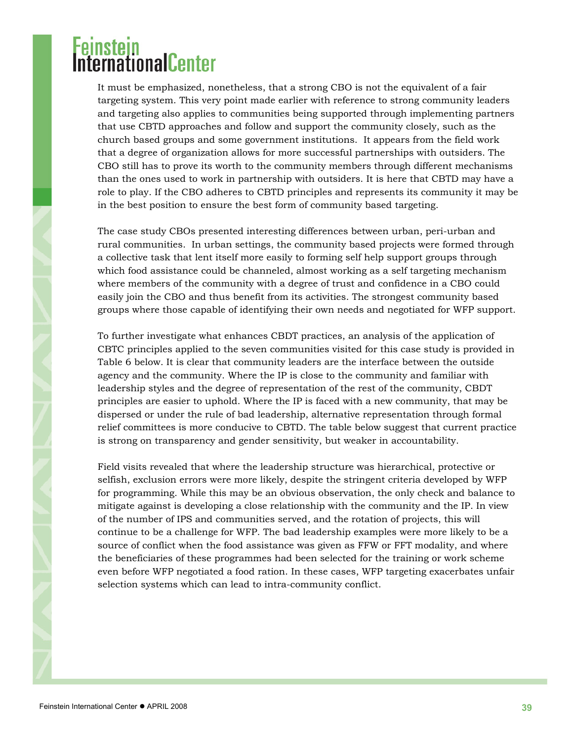### <sup>:</sup>einstein<br>nternationalCenter

It must be emphasized, nonetheless, that a strong CBO is not the equivalent of a fair targeting system. This very point made earlier with reference to strong community leaders and targeting also applies to communities being supported through implementing partners that use CBTD approaches and follow and support the community closely, such as the church based groups and some government institutions. It appears from the field work that a degree of organization allows for more successful partnerships with outsiders. The CBO still has to prove its worth to the community members through different mechanisms than the ones used to work in partnership with outsiders. It is here that CBTD may have a role to play. If the CBO adheres to CBTD principles and represents its community it may be in the best position to ensure the best form of community based targeting.

The case study CBOs presented interesting differences between urban, peri-urban and rural communities. In urban settings, the community based projects were formed through a collective task that lent itself more easily to forming self help support groups through which food assistance could be channeled, almost working as a self targeting mechanism where members of the community with a degree of trust and confidence in a CBO could easily join the CBO and thus benefit from its activities. The strongest community based groups where those capable of identifying their own needs and negotiated for WFP support.

To further investigate what enhances CBDT practices, an analysis of the application of CBTC principles applied to the seven communities visited for this case study is provided in Table 6 below. It is clear that community leaders are the interface between the outside agency and the community. Where the IP is close to the community and familiar with leadership styles and the degree of representation of the rest of the community, CBDT principles are easier to uphold. Where the IP is faced with a new community, that may be dispersed or under the rule of bad leadership, alternative representation through formal relief committees is more conducive to CBTD. The table below suggest that current practice is strong on transparency and gender sensitivity, but weaker in accountability.

Field visits revealed that where the leadership structure was hierarchical, protective or selfish, exclusion errors were more likely, despite the stringent criteria developed by WFP for programming. While this may be an obvious observation, the only check and balance to mitigate against is developing a close relationship with the community and the IP. In view of the number of IPS and communities served, and the rotation of projects, this will continue to be a challenge for WFP. The bad leadership examples were more likely to be a source of conflict when the food assistance was given as FFW or FFT modality, and where the beneficiaries of these programmes had been selected for the training or work scheme even before WFP negotiated a food ration. In these cases, WFP targeting exacerbates unfair selection systems which can lead to intra-community conflict.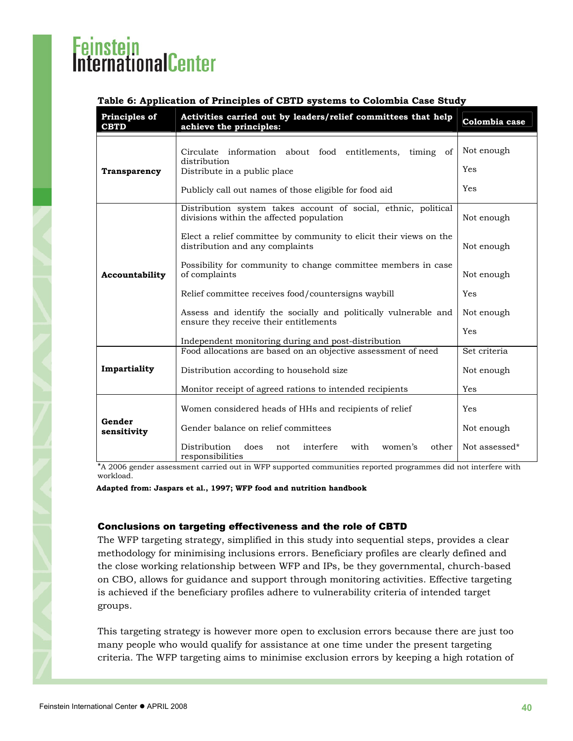#### <span id="page-39-0"></span>**Table 6: Application of Principles of CBTD systems to Colombia Case Study**

| Principles of<br><b>CBTD</b> | Activities carried out by leaders/relief committees that help<br>achieve the principles:                                                                           | Colombia case             |
|------------------------------|--------------------------------------------------------------------------------------------------------------------------------------------------------------------|---------------------------|
| <b>Transparency</b>          | Circulate information about food entitlements, timing of<br>distribution<br>Distribute in a public place<br>Publicly call out names of those eligible for food aid | Not enough<br>Yes<br>Yes  |
|                              | Distribution system takes account of social, ethnic, political<br>divisions within the affected population                                                         | Not enough                |
|                              | Elect a relief committee by community to elicit their views on the<br>distribution and any complaints                                                              | Not enough                |
| Accountability               | Possibility for community to change committee members in case<br>of complaints                                                                                     | Not enough                |
|                              | Relief committee receives food/countersigns waybill                                                                                                                | Yes                       |
|                              | Assess and identify the socially and politically vulnerable and<br>ensure they receive their entitlements                                                          | Not enough                |
|                              | Independent monitoring during and post-distribution                                                                                                                | Yes                       |
|                              | Food allocations are based on an objective assessment of need                                                                                                      | Set criteria              |
| Impartiality                 | Distribution according to household size                                                                                                                           | Not enough                |
|                              | Monitor receipt of agreed rations to intended recipients                                                                                                           | Yes                       |
|                              | Women considered heads of HHs and recipients of relief                                                                                                             | Yes                       |
| Gender<br>sensitivity        | Gender balance on relief committees                                                                                                                                | Not enough                |
|                              | Distribution<br>does<br>interfere<br>with<br>women's<br>other<br>not<br>responsibilities                                                                           | Not assessed <sup>*</sup> |

\*A 2006 gender assessment carried out in WFP supported communities reported programmes did not interfere with workload.

**Adapted from: Jaspars et al., 1997; WFP food and nutrition handbook** 

#### Conclusions on targeting effectiveness and the role of CBTD

The WFP targeting strategy, simplified in this study into sequential steps, provides a clear methodology for minimising inclusions errors. Beneficiary profiles are clearly defined and the close working relationship between WFP and IPs, be they governmental, church-based on CBO, allows for guidance and support through monitoring activities. Effective targeting is achieved if the beneficiary profiles adhere to vulnerability criteria of intended target groups.

This targeting strategy is however more open to exclusion errors because there are just too many people who would qualify for assistance at one time under the present targeting criteria. The WFP targeting aims to minimise exclusion errors by keeping a high rotation of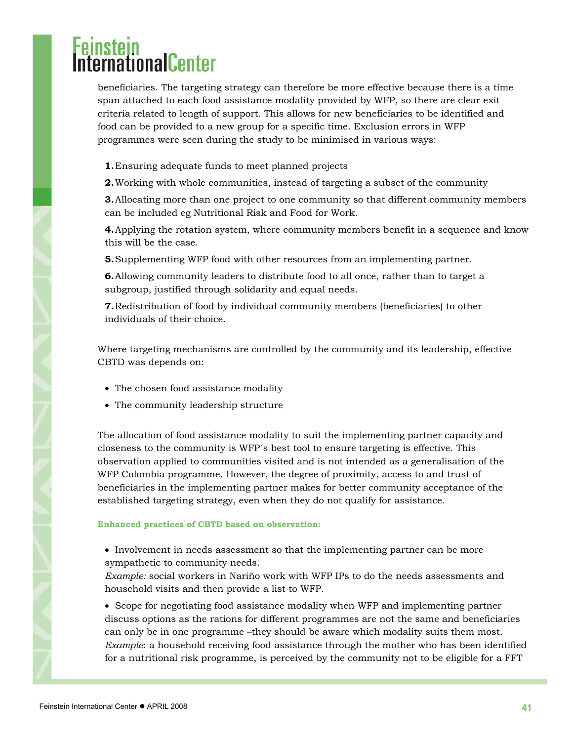beneficiaries. The targeting strategy can therefore be more effective because there is a time span attached to each food assistance modality provided by WFP, so there are clear exit criteria related to length of support. This allows for new beneficiaries to be identified and food can be provided to a new group for a specific time. Exclusion errors in WFP programmes were seen during the study to be minimised in various ways:

- **1.**Ensuring adequate funds to meet planned projects
- **2.**Working with whole communities, instead of targeting a subset of the community

**3.**Allocating more than one project to one community so that different community members can be included eg Nutritional Risk and Food for Work.

**4.**Applying the rotation system, where community members benefit in a sequence and know this will be the case.

**5.**Supplementing WFP food with other resources from an implementing partner.

**6.**Allowing community leaders to distribute food to all once, rather than to target a subgroup, justified through solidarity and equal needs.

**7.**Redistribution of food by individual community members (beneficiaries) to other individuals of their choice.

Where targeting mechanisms are controlled by the community and its leadership, effective CBTD was depends on:

- The chosen food assistance modality
- The community leadership structure

The allocation of food assistance modality to suit the implementing partner capacity and closeness to the community is WFP´s best tool to ensure targeting is effective. This observation applied to communities visited and is not intended as a generalisation of the WFP Colombia programme. However, the degree of proximity, access to and trust of beneficiaries in the implementing partner makes for better community acceptance of the established targeting strategy, even when they do not qualify for assistance.

#### **Enhanced practices of CBTD based on observation:**

• Involvement in needs assessment so that the implementing partner can be more sympathetic to community needs.

*Example:* social workers in Nariño work with WFP IPs to do the needs assessments and household visits and then provide a list to WFP.

• Scope for negotiating food assistance modality when WFP and implementing partner discuss options as the rations for different programmes are not the same and beneficiaries can only be in one programme –they should be aware which modality suits them most. *Example*: a household receiving food assistance through the mother who has been identified for a nutritional risk programme, is perceived by the community not to be eligible for a FFT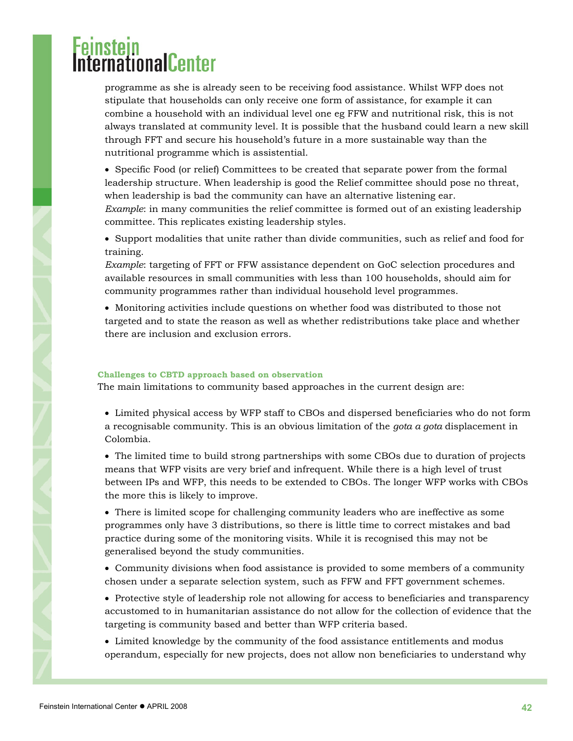programme as she is already seen to be receiving food assistance. Whilst WFP does not stipulate that households can only receive one form of assistance, for example it can combine a household with an individual level one eg FFW and nutritional risk, this is not always translated at community level. It is possible that the husband could learn a new skill through FFT and secure his household's future in a more sustainable way than the nutritional programme which is assistential.

• Specific Food (or relief) Committees to be created that separate power from the formal leadership structure. When leadership is good the Relief committee should pose no threat, when leadership is bad the community can have an alternative listening ear. *Example*: in many communities the relief committee is formed out of an existing leadership committee. This replicates existing leadership styles.

• Support modalities that unite rather than divide communities, such as relief and food for training.

*Example*: targeting of FFT or FFW assistance dependent on GoC selection procedures and available resources in small communities with less than 100 households, should aim for community programmes rather than individual household level programmes.

• Monitoring activities include questions on whether food was distributed to those not targeted and to state the reason as well as whether redistributions take place and whether there are inclusion and exclusion errors.

#### **Challenges to CBTD approach based on observation**

The main limitations to community based approaches in the current design are:

• Limited physical access by WFP staff to CBOs and dispersed beneficiaries who do not form a recognisable community. This is an obvious limitation of the *gota a gota* displacement in Colombia.

• The limited time to build strong partnerships with some CBOs due to duration of projects means that WFP visits are very brief and infrequent. While there is a high level of trust between IPs and WFP, this needs to be extended to CBOs. The longer WFP works with CBOs the more this is likely to improve.

• There is limited scope for challenging community leaders who are ineffective as some programmes only have 3 distributions, so there is little time to correct mistakes and bad practice during some of the monitoring visits. While it is recognised this may not be generalised beyond the study communities.

- Community divisions when food assistance is provided to some members of a community chosen under a separate selection system, such as FFW and FFT government schemes.
- Protective style of leadership role not allowing for access to beneficiaries and transparency accustomed to in humanitarian assistance do not allow for the collection of evidence that the targeting is community based and better than WFP criteria based.

• Limited knowledge by the community of the food assistance entitlements and modus operandum, especially for new projects, does not allow non beneficiaries to understand why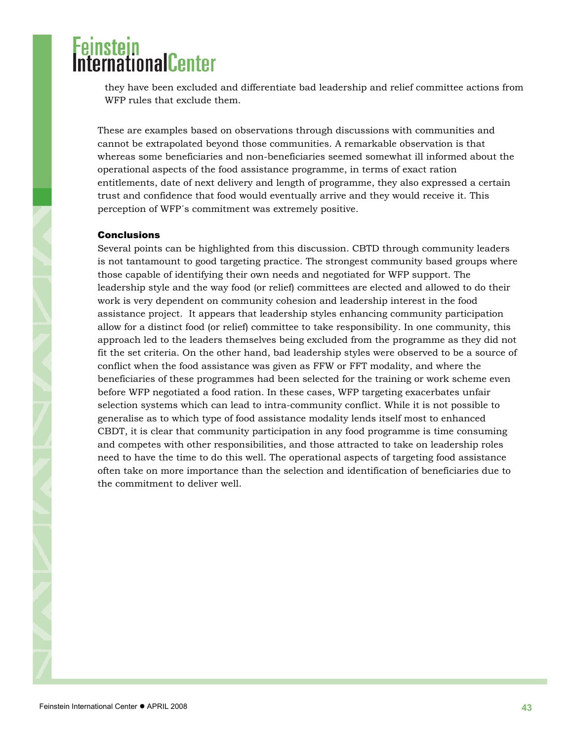<span id="page-42-0"></span>they have been excluded and differentiate bad leadership and relief committee actions from WFP rules that exclude them.

These are examples based on observations through discussions with communities and cannot be extrapolated beyond those communities. A remarkable observation is that whereas some beneficiaries and non-beneficiaries seemed somewhat ill informed about the operational aspects of the food assistance programme, in terms of exact ration entitlements, date of next delivery and length of programme, they also expressed a certain trust and confidence that food would eventually arrive and they would receive it. This perception of WFP´s commitment was extremely positive.

#### **Conclusions**

Several points can be highlighted from this discussion. CBTD through community leaders is not tantamount to good targeting practice. The strongest community based groups where those capable of identifying their own needs and negotiated for WFP support. The leadership style and the way food (or relief) committees are elected and allowed to do their work is very dependent on community cohesion and leadership interest in the food assistance project. It appears that leadership styles enhancing community participation allow for a distinct food (or relief) committee to take responsibility. In one community, this approach led to the leaders themselves being excluded from the programme as they did not fit the set criteria. On the other hand, bad leadership styles were observed to be a source of conflict when the food assistance was given as FFW or FFT modality, and where the beneficiaries of these programmes had been selected for the training or work scheme even before WFP negotiated a food ration. In these cases, WFP targeting exacerbates unfair selection systems which can lead to intra-community conflict. While it is not possible to generalise as to which type of food assistance modality lends itself most to enhanced CBDT, it is clear that community participation in any food programme is time consuming and competes with other responsibilities, and those attracted to take on leadership roles need to have the time to do this well. The operational aspects of targeting food assistance often take on more importance than the selection and identification of beneficiaries due to the commitment to deliver well.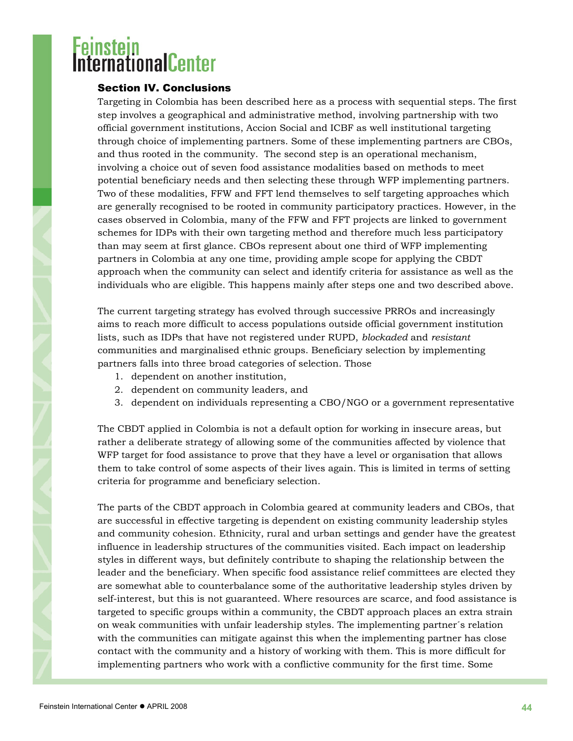### <span id="page-43-0"></span><sup>:</sup>einstein<br>nternationalCenter

### Section IV. Conclusions

Targeting in Colombia has been described here as a process with sequential steps. The first step involves a geographical and administrative method, involving partnership with two official government institutions, Accion Social and ICBF as well institutional targeting through choice of implementing partners. Some of these implementing partners are CBOs, and thus rooted in the community. The second step is an operational mechanism, involving a choice out of seven food assistance modalities based on methods to meet potential beneficiary needs and then selecting these through WFP implementing partners. Two of these modalities, FFW and FFT lend themselves to self targeting approaches which are generally recognised to be rooted in community participatory practices. However, in the cases observed in Colombia, many of the FFW and FFT projects are linked to government schemes for IDPs with their own targeting method and therefore much less participatory than may seem at first glance. CBOs represent about one third of WFP implementing partners in Colombia at any one time, providing ample scope for applying the CBDT approach when the community can select and identify criteria for assistance as well as the individuals who are eligible. This happens mainly after steps one and two described above.

The current targeting strategy has evolved through successive PRROs and increasingly aims to reach more difficult to access populations outside official government institution lists, such as IDPs that have not registered under RUPD, *blockaded* and *resistant* communities and marginalised ethnic groups. Beneficiary selection by implementing partners falls into three broad categories of selection. Those

- 1. dependent on another institution,
- 2. dependent on community leaders, and
- 3. dependent on individuals representing a CBO/NGO or a government representative

The CBDT applied in Colombia is not a default option for working in insecure areas, but rather a deliberate strategy of allowing some of the communities affected by violence that WFP target for food assistance to prove that they have a level or organisation that allows them to take control of some aspects of their lives again. This is limited in terms of setting criteria for programme and beneficiary selection.

The parts of the CBDT approach in Colombia geared at community leaders and CBOs, that are successful in effective targeting is dependent on existing community leadership styles and community cohesion. Ethnicity, rural and urban settings and gender have the greatest influence in leadership structures of the communities visited. Each impact on leadership styles in different ways, but definitely contribute to shaping the relationship between the leader and the beneficiary. When specific food assistance relief committees are elected they are somewhat able to counterbalance some of the authoritative leadership styles driven by self-interest, but this is not guaranteed. Where resources are scarce, and food assistance is targeted to specific groups within a community, the CBDT approach places an extra strain on weak communities with unfair leadership styles. The implementing partner´s relation with the communities can mitigate against this when the implementing partner has close contact with the community and a history of working with them. This is more difficult for implementing partners who work with a conflictive community for the first time. Some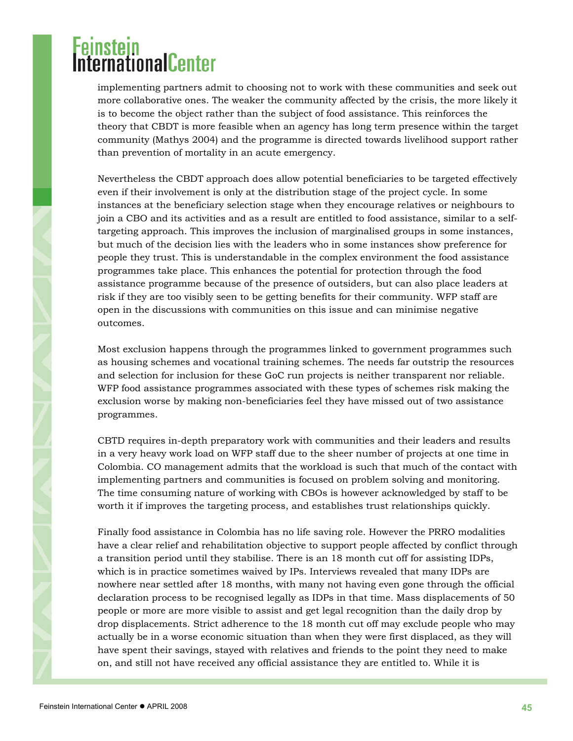# **THROUGH**

implementing partners admit to choosing not to work with these communities and seek out more collaborative ones. The weaker the community affected by the crisis, the more likely it is to become the object rather than the subject of food assistance. This reinforces the theory that CBDT is more feasible when an agency has long term presence within the target community (Mathys 2004) and the programme is directed towards livelihood support rather than prevention of mortality in an acute emergency.

Nevertheless the CBDT approach does allow potential beneficiaries to be targeted effectively even if their involvement is only at the distribution stage of the project cycle. In some instances at the beneficiary selection stage when they encourage relatives or neighbours to join a CBO and its activities and as a result are entitled to food assistance, similar to a selftargeting approach. This improves the inclusion of marginalised groups in some instances, but much of the decision lies with the leaders who in some instances show preference for people they trust. This is understandable in the complex environment the food assistance programmes take place. This enhances the potential for protection through the food assistance programme because of the presence of outsiders, but can also place leaders at risk if they are too visibly seen to be getting benefits for their community. WFP staff are open in the discussions with communities on this issue and can minimise negative outcomes.

Most exclusion happens through the programmes linked to government programmes such as housing schemes and vocational training schemes. The needs far outstrip the resources and selection for inclusion for these GoC run projects is neither transparent nor reliable. WFP food assistance programmes associated with these types of schemes risk making the exclusion worse by making non-beneficiaries feel they have missed out of two assistance programmes.

CBTD requires in-depth preparatory work with communities and their leaders and results in a very heavy work load on WFP staff due to the sheer number of projects at one time in Colombia. CO management admits that the workload is such that much of the contact with implementing partners and communities is focused on problem solving and monitoring. The time consuming nature of working with CBOs is however acknowledged by staff to be worth it if improves the targeting process, and establishes trust relationships quickly.

Finally food assistance in Colombia has no life saving role. However the PRRO modalities have a clear relief and rehabilitation objective to support people affected by conflict through a transition period until they stabilise. There is an 18 month cut off for assisting IDPs, which is in practice sometimes waived by IPs. Interviews revealed that many IDPs are nowhere near settled after 18 months, with many not having even gone through the official declaration process to be recognised legally as IDPs in that time. Mass displacements of 50 people or more are more visible to assist and get legal recognition than the daily drop by drop displacements. Strict adherence to the 18 month cut off may exclude people who may actually be in a worse economic situation than when they were first displaced, as they will have spent their savings, stayed with relatives and friends to the point they need to make on, and still not have received any official assistance they are entitled to. While it is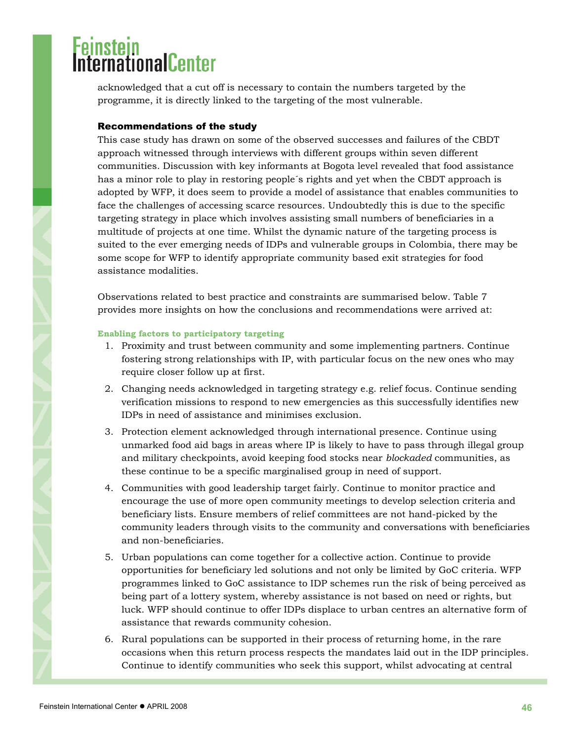# <span id="page-45-0"></span>ernationalCenter

acknowledged that a cut off is necessary to contain the numbers targeted by the programme, it is directly linked to the targeting of the most vulnerable.

#### Recommendations of the study

This case study has drawn on some of the observed successes and failures of the CBDT approach witnessed through interviews with different groups within seven different communities. Discussion with key informants at Bogota level revealed that food assistance has a minor role to play in restoring people´s rights and yet when the CBDT approach is adopted by WFP, it does seem to provide a model of assistance that enables communities to face the challenges of accessing scarce resources. Undoubtedly this is due to the specific targeting strategy in place which involves assisting small numbers of beneficiaries in a multitude of projects at one time. Whilst the dynamic nature of the targeting process is suited to the ever emerging needs of IDPs and vulnerable groups in Colombia, there may be some scope for WFP to identify appropriate community based exit strategies for food assistance modalities.

Observations related to best practice and constraints are summarised below. Table 7 provides more insights on how the conclusions and recommendations were arrived at:

#### **Enabling factors to participatory targeting**

- 1. Proximity and trust between community and some implementing partners. Continue fostering strong relationships with IP, with particular focus on the new ones who may require closer follow up at first.
- 2. Changing needs acknowledged in targeting strategy e.g. relief focus. Continue sending verification missions to respond to new emergencies as this successfully identifies new IDPs in need of assistance and minimises exclusion.
- 3. Protection element acknowledged through international presence. Continue using unmarked food aid bags in areas where IP is likely to have to pass through illegal group and military checkpoints, avoid keeping food stocks near *blockaded* communities, as these continue to be a specific marginalised group in need of support.
- 4. Communities with good leadership target fairly. Continue to monitor practice and encourage the use of more open community meetings to develop selection criteria and beneficiary lists. Ensure members of relief committees are not hand-picked by the community leaders through visits to the community and conversations with beneficiaries and non-beneficiaries.
- 5. Urban populations can come together for a collective action. Continue to provide opportunities for beneficiary led solutions and not only be limited by GoC criteria. WFP programmes linked to GoC assistance to IDP schemes run the risk of being perceived as being part of a lottery system, whereby assistance is not based on need or rights, but luck. WFP should continue to offer IDPs displace to urban centres an alternative form of assistance that rewards community cohesion.
- 6. Rural populations can be supported in their process of returning home, in the rare occasions when this return process respects the mandates laid out in the IDP principles. Continue to identify communities who seek this support, whilst advocating at central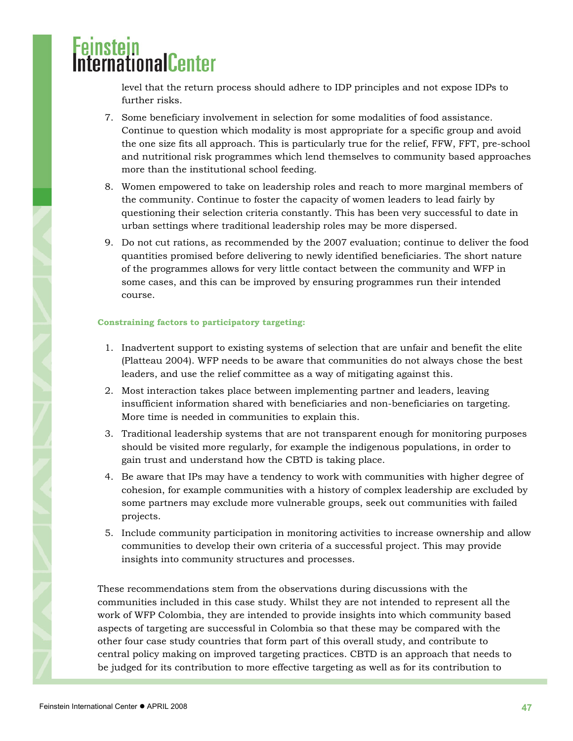level that the return process should adhere to IDP principles and not expose IDPs to further risks.

- 7. Some beneficiary involvement in selection for some modalities of food assistance. Continue to question which modality is most appropriate for a specific group and avoid the one size fits all approach. This is particularly true for the relief, FFW, FFT, pre-school and nutritional risk programmes which lend themselves to community based approaches more than the institutional school feeding.
- 8. Women empowered to take on leadership roles and reach to more marginal members of the community. Continue to foster the capacity of women leaders to lead fairly by questioning their selection criteria constantly. This has been very successful to date in urban settings where traditional leadership roles may be more dispersed.
- 9. Do not cut rations, as recommended by the 2007 evaluation; continue to deliver the food quantities promised before delivering to newly identified beneficiaries. The short nature of the programmes allows for very little contact between the community and WFP in some cases, and this can be improved by ensuring programmes run their intended course.

#### **Constraining factors to participatory targeting:**

- 1. Inadvertent support to existing systems of selection that are unfair and benefit the elite (Platteau 2004). WFP needs to be aware that communities do not always chose the best leaders, and use the relief committee as a way of mitigating against this.
- 2. Most interaction takes place between implementing partner and leaders, leaving insufficient information shared with beneficiaries and non-beneficiaries on targeting. More time is needed in communities to explain this.
- 3. Traditional leadership systems that are not transparent enough for monitoring purposes should be visited more regularly, for example the indigenous populations, in order to gain trust and understand how the CBTD is taking place.
- 4. Be aware that IPs may have a tendency to work with communities with higher degree of cohesion, for example communities with a history of complex leadership are excluded by some partners may exclude more vulnerable groups, seek out communities with failed projects.
- 5. Include community participation in monitoring activities to increase ownership and allow communities to develop their own criteria of a successful project. This may provide insights into community structures and processes.

These recommendations stem from the observations during discussions with the communities included in this case study. Whilst they are not intended to represent all the work of WFP Colombia, they are intended to provide insights into which community based aspects of targeting are successful in Colombia so that these may be compared with the other four case study countries that form part of this overall study, and contribute to central policy making on improved targeting practices. CBTD is an approach that needs to be judged for its contribution to more effective targeting as well as for its contribution to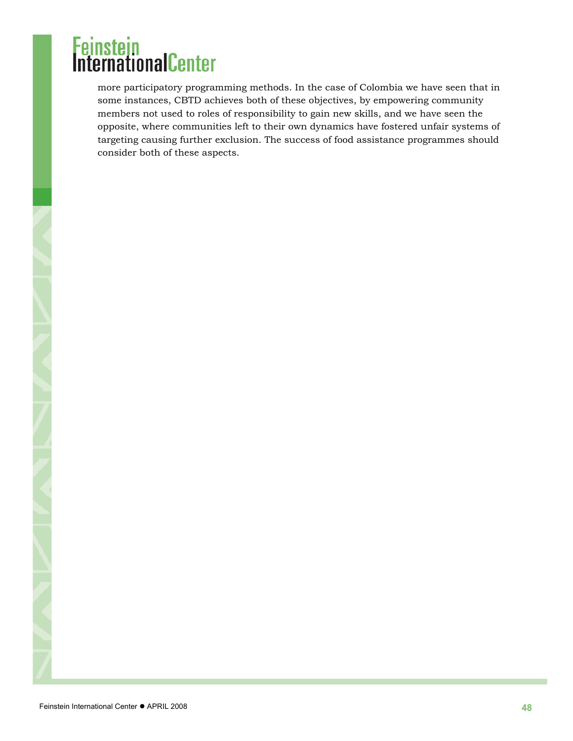more participatory programming methods. In the case of Colombia we have seen that in some instances, CBTD achieves both of these objectives, by empowering community members not used to roles of responsibility to gain new skills, and we have seen the opposite, where communities left to their own dynamics have fostered unfair systems of targeting causing further exclusion. The success of food assistance programmes should consider both of these aspects.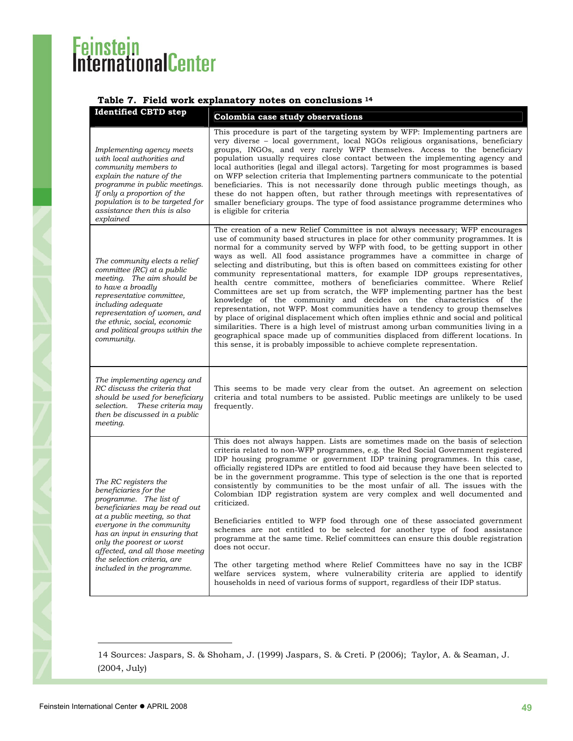### <span id="page-48-0"></span>**Table 7. Field work explanatory notes on conclusions [14](#page-48-1)**

|  | <b>Identified CBTD step</b>                                                                                                                                                                                                                                                        | Colombia case study observations                                                                                                                                                                                                                                                                                                                                                                                                                                                                                                                                                                                                                                                                                                                                                                                                                                                                                                                                                                                                                                                                                                                                                  |
|--|------------------------------------------------------------------------------------------------------------------------------------------------------------------------------------------------------------------------------------------------------------------------------------|-----------------------------------------------------------------------------------------------------------------------------------------------------------------------------------------------------------------------------------------------------------------------------------------------------------------------------------------------------------------------------------------------------------------------------------------------------------------------------------------------------------------------------------------------------------------------------------------------------------------------------------------------------------------------------------------------------------------------------------------------------------------------------------------------------------------------------------------------------------------------------------------------------------------------------------------------------------------------------------------------------------------------------------------------------------------------------------------------------------------------------------------------------------------------------------|
|  | Implementing agency meets<br>with local authorities and<br>community members to<br>explain the nature of the<br>programme in public meetings.<br>If only a proportion of the<br>population is to be targeted for<br>assistance then this is also<br>explained                      | This procedure is part of the targeting system by WFP: Implementing partners are<br>very diverse - local government, local NGOs religious organisations, beneficiary<br>groups, INGOs, and very rarely WFP themselves. Access to the beneficiary<br>population usually requires close contact between the implementing agency and<br>local authorities (legal and illegal actors). Targeting for most programmes is based<br>on WFP selection criteria that Implementing partners communicate to the potential<br>beneficiaries. This is not necessarily done through public meetings though, as<br>these do not happen often, but rather through meetings with representatives of<br>smaller beneficiary groups. The type of food assistance programme determines who<br>is eligible for criteria                                                                                                                                                                                                                                                                                                                                                                                |
|  | The community elects a relief<br>committee (RC) at a public<br>meeting. The aim should be<br>to have a broadly<br>representative committee,<br>including adequate<br>representation of women, and<br>the ethnic, social, economic<br>and political groups within the<br>community. | The creation of a new Relief Committee is not always necessary; WFP encourages<br>use of community based structures in place for other community programmes. It is<br>normal for a community served by WFP with food, to be getting support in other<br>ways as well. All food assistance programmes have a committee in charge of<br>selecting and distributing, but this is often based on committees existing for other<br>community representational matters, for example IDP groups representatives,<br>health centre committee, mothers of beneficiaries committee. Where Relief<br>Committees are set up from scratch, the WFP implementing partner has the best<br>knowledge of the community and decides on the characteristics of the<br>representation, not WFP. Most communities have a tendency to group themselves<br>by place of original displacement which often implies ethnic and social and political<br>similarities. There is a high level of mistrust among urban communities living in a<br>geographical space made up of communities displaced from different locations. In<br>this sense, it is probably impossible to achieve complete representation. |
|  | The implementing agency and<br>RC discuss the criteria that<br>should be used for beneficiary<br>selection. These criteria may<br>then be discussed in a public<br>meeting.                                                                                                        | This seems to be made very clear from the outset. An agreement on selection<br>criteria and total numbers to be assisted. Public meetings are unlikely to be used<br>frequently.                                                                                                                                                                                                                                                                                                                                                                                                                                                                                                                                                                                                                                                                                                                                                                                                                                                                                                                                                                                                  |
|  | The RC registers the<br>beneficiaries for the<br>programme. The list of<br>beneficiaries may be read out<br>at a public meeting, so that                                                                                                                                           | This does not always happen. Lists are sometimes made on the basis of selection<br>criteria related to non-WFP programmes, e.g. the Red Social Government registered<br>IDP housing programme or government IDP training programmes. In this case,<br>officially registered IDPs are entitled to food aid because they have been selected to<br>be in the government programme. This type of selection is the one that is reported<br>consistently by communities to be the most unfair of all. The issues with the<br>Colombian IDP registration system are very complex and well documented and<br>criticized.                                                                                                                                                                                                                                                                                                                                                                                                                                                                                                                                                                  |
|  | everyone in the community<br>has an input in ensuring that<br>only the poorest or worst<br>affected, and all those meeting<br>the selection criteria, are                                                                                                                          | Beneficiaries entitled to WFP food through one of these associated government<br>schemes are not entitled to be selected for another type of food assistance<br>programme at the same time. Relief committees can ensure this double registration<br>does not occur.<br>The other targeting method where Relief Committees have no say in the ICBF                                                                                                                                                                                                                                                                                                                                                                                                                                                                                                                                                                                                                                                                                                                                                                                                                                |
|  | included in the programme.                                                                                                                                                                                                                                                         | welfare services system, where vulnerability criteria are applied to identify<br>households in need of various forms of support, regardless of their IDP status.                                                                                                                                                                                                                                                                                                                                                                                                                                                                                                                                                                                                                                                                                                                                                                                                                                                                                                                                                                                                                  |

l

<span id="page-48-1"></span><sup>14</sup> Sources: Jaspars, S. & Shoham, J. (1999) Jaspars, S. & Creti. P (2006); Taylor, A. & Seaman, J. (2004, July)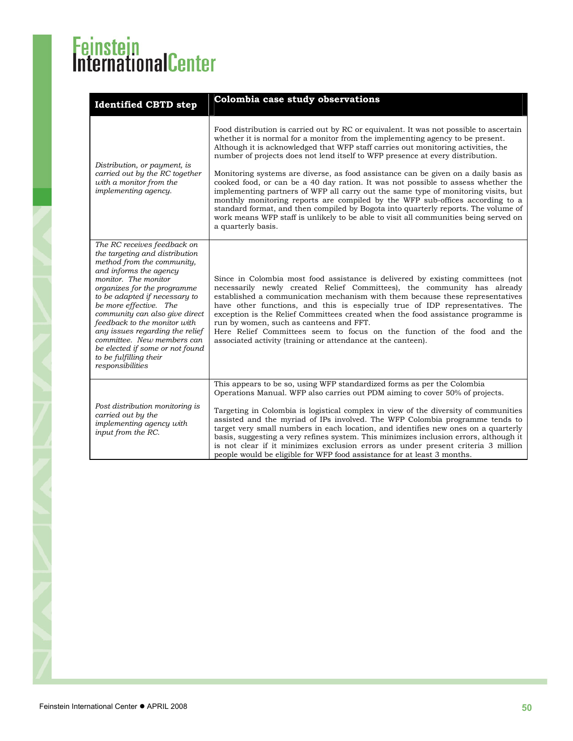| <b>Identified CBTD step</b>                                                                                                                                                                                                                                                                                                                                                                                                                                 | Colombia case study observations                                                                                                                                                                                                                                                                                                                                                                                                                                                                                                                                                                                                                                                                                                                                                                                                                                                                       |  |  |  |  |  |
|-------------------------------------------------------------------------------------------------------------------------------------------------------------------------------------------------------------------------------------------------------------------------------------------------------------------------------------------------------------------------------------------------------------------------------------------------------------|--------------------------------------------------------------------------------------------------------------------------------------------------------------------------------------------------------------------------------------------------------------------------------------------------------------------------------------------------------------------------------------------------------------------------------------------------------------------------------------------------------------------------------------------------------------------------------------------------------------------------------------------------------------------------------------------------------------------------------------------------------------------------------------------------------------------------------------------------------------------------------------------------------|--|--|--|--|--|
| Distribution, or payment, is<br>carried out by the RC together<br>with a monitor from the<br><i>implementing agency.</i>                                                                                                                                                                                                                                                                                                                                    | Food distribution is carried out by RC or equivalent. It was not possible to ascertain<br>whether it is normal for a monitor from the implementing agency to be present.<br>Although it is acknowledged that WFP staff carries out monitoring activities, the<br>number of projects does not lend itself to WFP presence at every distribution.<br>Monitoring systems are diverse, as food assistance can be given on a daily basis as<br>cooked food, or can be a 40 day ration. It was not possible to assess whether the<br>implementing partners of WFP all carry out the same type of monitoring visits, but<br>monthly monitoring reports are compiled by the WFP sub-offices according to a<br>standard format, and then compiled by Bogota into quarterly reports. The volume of<br>work means WFP staff is unlikely to be able to visit all communities being served on<br>a quarterly basis. |  |  |  |  |  |
| The RC receives feedback on<br>the targeting and distribution<br>method from the community,<br>and informs the agency<br>monitor. The monitor<br>organizes for the programme<br>to be adapted if necessary to<br>be more effective. The<br>community can also give direct<br>feedback to the monitor with<br>any issues regarding the relief<br>committee. New members can<br>be elected if some or not found<br>to be fulfilling their<br>responsibilities | Since in Colombia most food assistance is delivered by existing committees (not<br>necessarily newly created Relief Committees), the community has already<br>established a communication mechanism with them because these representatives<br>have other functions, and this is especially true of IDP representatives. The<br>exception is the Relief Committees created when the food assistance programme is<br>run by women, such as canteens and FFT.<br>Here Relief Committees seem to focus on the function of the food and the<br>associated activity (training or attendance at the canteen).                                                                                                                                                                                                                                                                                                |  |  |  |  |  |
| Post distribution monitoring is<br>carried out by the<br>implementing agency with<br>input from the RC.                                                                                                                                                                                                                                                                                                                                                     | This appears to be so, using WFP standardized forms as per the Colombia<br>Operations Manual. WFP also carries out PDM aiming to cover 50% of projects.<br>Targeting in Colombia is logistical complex in view of the diversity of communities<br>assisted and the myriad of IPs involved. The WFP Colombia programme tends to<br>target very small numbers in each location, and identifies new ones on a quarterly<br>basis, suggesting a very refines system. This minimizes inclusion errors, although it<br>is not clear if it minimizes exclusion errors as under present criteria 3 million<br>people would be eligible for WFP food assistance for at least 3 months.                                                                                                                                                                                                                          |  |  |  |  |  |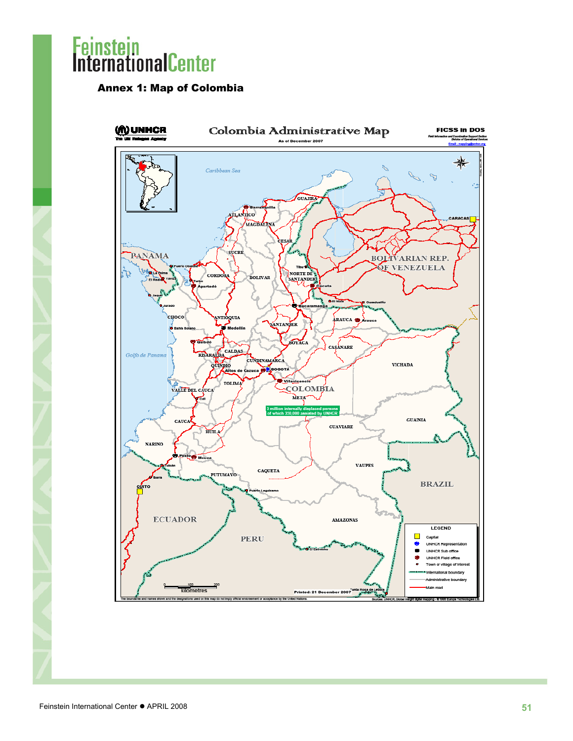### <span id="page-50-0"></span>Annex 1: Map of Colombia

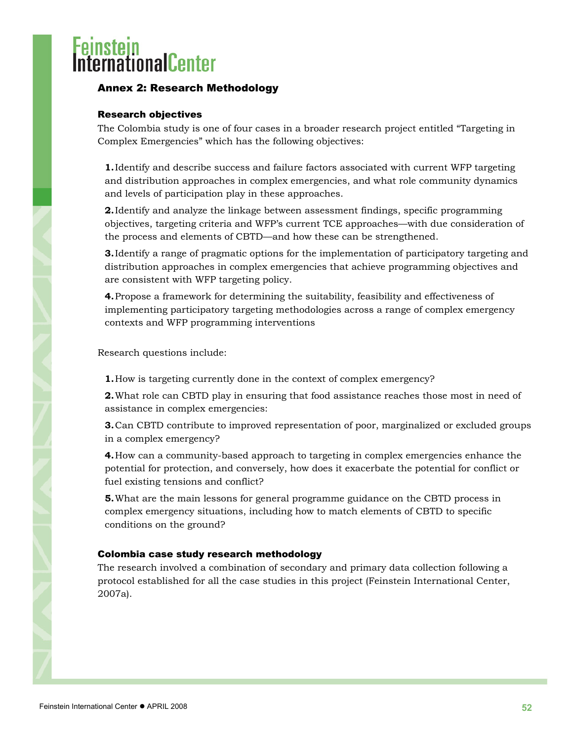### <span id="page-51-0"></span>ernationalCenter

### Annex 2: Research Methodology

### Research objectives

The Colombia study is one of four cases in a broader research project entitled "Targeting in Complex Emergencies" which has the following objectives:

**1.**Identify and describe success and failure factors associated with current WFP targeting and distribution approaches in complex emergencies, and what role community dynamics and levels of participation play in these approaches.

**2.**Identify and analyze the linkage between assessment findings, specific programming objectives, targeting criteria and WFP's current TCE approaches—with due consideration of the process and elements of CBTD—and how these can be strengthened.

**3.**Identify a range of pragmatic options for the implementation of participatory targeting and distribution approaches in complex emergencies that achieve programming objectives and are consistent with WFP targeting policy.

**4.**Propose a framework for determining the suitability, feasibility and effectiveness of implementing participatory targeting methodologies across a range of complex emergency contexts and WFP programming interventions

Research questions include:

**1.**How is targeting currently done in the context of complex emergency?

**2.**What role can CBTD play in ensuring that food assistance reaches those most in need of assistance in complex emergencies:

**3.**Can CBTD contribute to improved representation of poor, marginalized or excluded groups in a complex emergency?

**4.**How can a community-based approach to targeting in complex emergencies enhance the potential for protection, and conversely, how does it exacerbate the potential for conflict or fuel existing tensions and conflict?

**5.**What are the main lessons for general programme guidance on the CBTD process in complex emergency situations, including how to match elements of CBTD to specific conditions on the ground?

### Colombia case study research methodology

The research involved a combination of secondary and primary data collection following a protocol established for all the case studies in this project (Feinstein International Center, 2007a).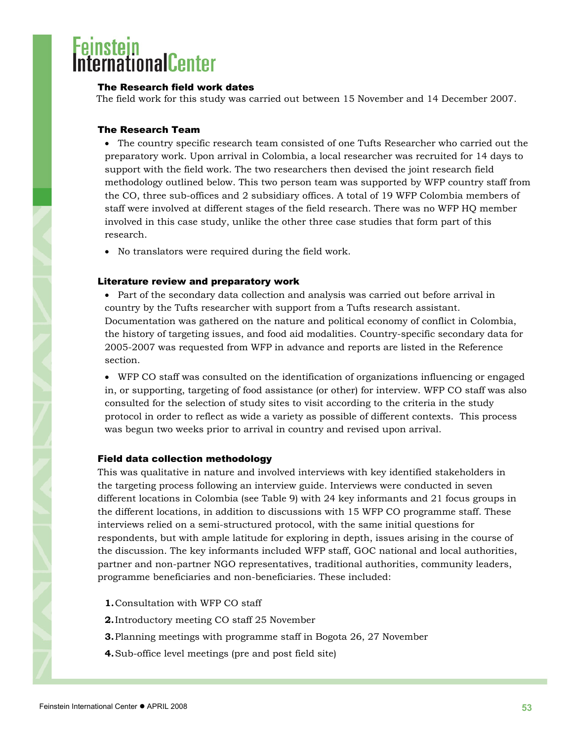### <span id="page-52-0"></span>nationalCenter

#### The Research field work dates

The field work for this study was carried out between 15 November and 14 December 2007.

#### The Research Team

• The country specific research team consisted of one Tufts Researcher who carried out the preparatory work. Upon arrival in Colombia, a local researcher was recruited for 14 days to support with the field work. The two researchers then devised the joint research field methodology outlined below. This two person team was supported by WFP country staff from the CO, three sub-offices and 2 subsidiary offices. A total of 19 WFP Colombia members of staff were involved at different stages of the field research. There was no WFP HQ member involved in this case study, unlike the other three case studies that form part of this research.

• No translators were required during the field work.

#### Literature review and preparatory work

• Part of the secondary data collection and analysis was carried out before arrival in country by the Tufts researcher with support from a Tufts research assistant. Documentation was gathered on the nature and political economy of conflict in Colombia, the history of targeting issues, and food aid modalities. Country-specific secondary data for 2005-2007 was requested from WFP in advance and reports are listed in the Reference section.

• WFP CO staff was consulted on the identification of organizations influencing or engaged in, or supporting, targeting of food assistance (or other) for interview. WFP CO staff was also consulted for the selection of study sites to visit according to the criteria in the study protocol in order to reflect as wide a variety as possible of different contexts. This process was begun two weeks prior to arrival in country and revised upon arrival.

#### Field data collection methodology

This was qualitative in nature and involved interviews with key identified stakeholders in the targeting process following an interview guide. Interviews were conducted in seven different locations in Colombia (see Table 9) with 24 key informants and 21 focus groups in the different locations, in addition to discussions with 15 WFP CO programme staff. These interviews relied on a semi-structured protocol, with the same initial questions for respondents, but with ample latitude for exploring in depth, issues arising in the course of the discussion. The key informants included WFP staff, GOC national and local authorities, partner and non-partner NGO representatives, traditional authorities, community leaders, programme beneficiaries and non-beneficiaries. These included:

- **1.**Consultation with WFP CO staff
- **2.**Introductory meeting CO staff 25 November
- **3.**Planning meetings with programme staff in Bogota 26, 27 November
- **4.**Sub-office level meetings (pre and post field site)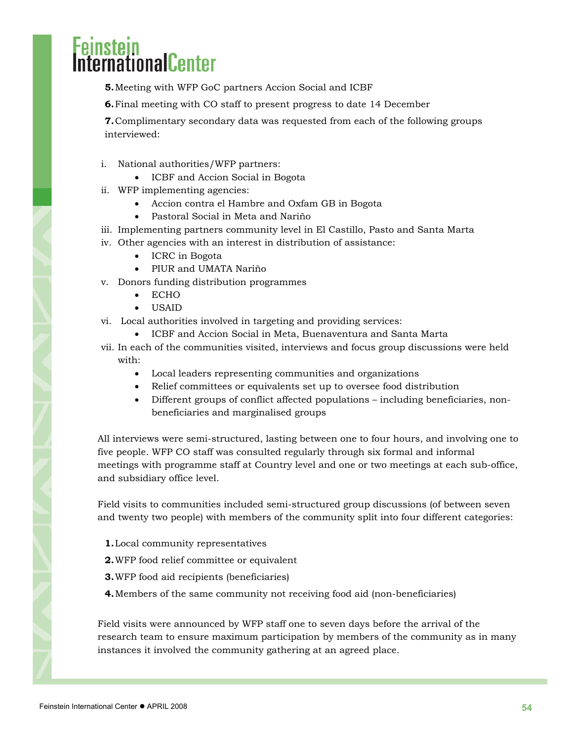# rnationalCenter

- **5.**Meeting with WFP GoC partners Accion Social and ICBF
- **6.**Final meeting with CO staff to present progress to date 14 December

**7.**Complimentary secondary data was requested from each of the following groups interviewed:

- i. National authorities/WFP partners:
	- ICBF and Accion Social in Bogota
- ii. WFP implementing agencies:
	- Accion contra el Hambre and Oxfam GB in Bogota
	- Pastoral Social in Meta and Nariño
- iii. Implementing partners community level in El Castillo, Pasto and Santa Marta
- iv. Other agencies with an interest in distribution of assistance:
	- ICRC in Bogota
	- PIUR and UMATA Nariño
- v. Donors funding distribution programmes
	- ECHO
	- USAID
- vi. Local authorities involved in targeting and providing services:
	- ICBF and Accion Social in Meta, Buenaventura and Santa Marta
- vii. In each of the communities visited, interviews and focus group discussions were held with:
	- Local leaders representing communities and organizations
	- Relief committees or equivalents set up to oversee food distribution
	- Different groups of conflict affected populations including beneficiaries, nonbeneficiaries and marginalised groups

All interviews were semi-structured, lasting between one to four hours, and involving one to five people. WFP CO staff was consulted regularly through six formal and informal meetings with programme staff at Country level and one or two meetings at each sub-office, and subsidiary office level.

Field visits to communities included semi-structured group discussions (of between seven and twenty two people) with members of the community split into four different categories:

- **1.**Local community representatives
- **2.**WFP food relief committee or equivalent
- **3.**WFP food aid recipients (beneficiaries)
- **4.**Members of the same community not receiving food aid (non-beneficiaries)

Field visits were announced by WFP staff one to seven days before the arrival of the research team to ensure maximum participation by members of the community as in many instances it involved the community gathering at an agreed place.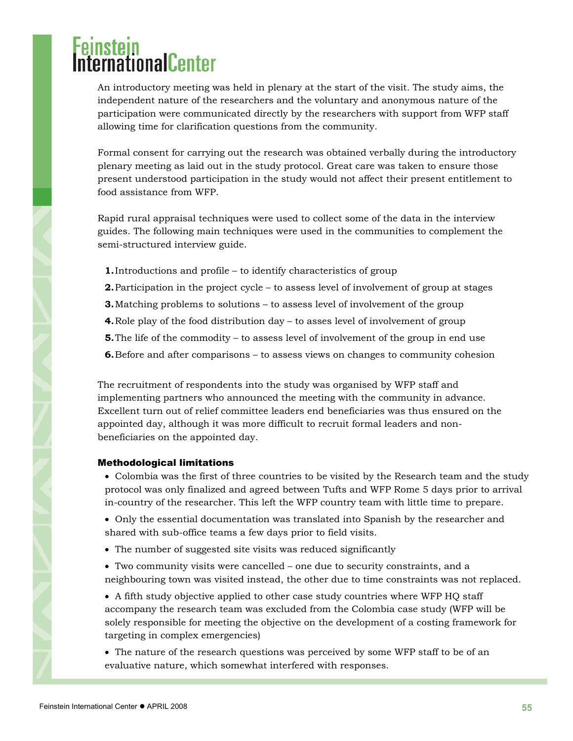# <span id="page-54-0"></span>**ProtectionalCenter**

An introductory meeting was held in plenary at the start of the visit. The study aims, the independent nature of the researchers and the voluntary and anonymous nature of the participation were communicated directly by the researchers with support from WFP staff allowing time for clarification questions from the community.

Formal consent for carrying out the research was obtained verbally during the introductory plenary meeting as laid out in the study protocol. Great care was taken to ensure those present understood participation in the study would not affect their present entitlement to food assistance from WFP.

Rapid rural appraisal techniques were used to collect some of the data in the interview guides. The following main techniques were used in the communities to complement the semi-structured interview guide.

- **1.**Introductions and profile to identify characteristics of group
- **2.**Participation in the project cycle to assess level of involvement of group at stages
- **3.**Matching problems to solutions to assess level of involvement of the group
- **4.**Role play of the food distribution day to asses level of involvement of group
- **5.** The life of the commodity to assess level of involvement of the group in end use
- **6.**Before and after comparisons to assess views on changes to community cohesion

The recruitment of respondents into the study was organised by WFP staff and implementing partners who announced the meeting with the community in advance. Excellent turn out of relief committee leaders end beneficiaries was thus ensured on the appointed day, although it was more difficult to recruit formal leaders and nonbeneficiaries on the appointed day.

#### Methodological limitations

• Colombia was the first of three countries to be visited by the Research team and the study protocol was only finalized and agreed between Tufts and WFP Rome 5 days prior to arrival in-country of the researcher. This left the WFP country team with little time to prepare.

• Only the essential documentation was translated into Spanish by the researcher and shared with sub-office teams a few days prior to field visits.

- The number of suggested site visits was reduced significantly
- Two community visits were cancelled one due to security constraints, and a neighbouring town was visited instead, the other due to time constraints was not replaced.

• A fifth study objective applied to other case study countries where WFP HQ staff accompany the research team was excluded from the Colombia case study (WFP will be solely responsible for meeting the objective on the development of a costing framework for targeting in complex emergencies)

• The nature of the research questions was perceived by some WFP staff to be of an evaluative nature, which somewhat interfered with responses.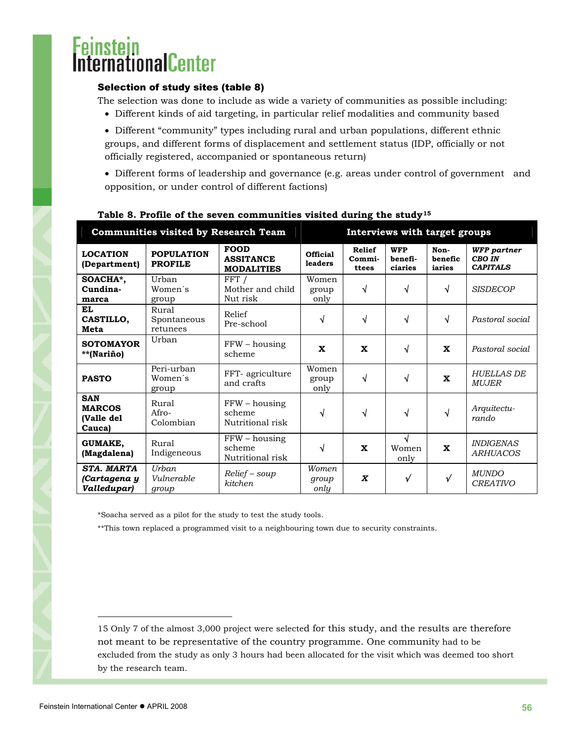### <span id="page-55-0"></span>**ustelli**onalCenter

### Selection of study sites (table 8)

The selection was done to include as wide a variety of communities as possible including:

- Different kinds of aid targeting, in particular relief modalities and community based
- Different "community" types including rural and urban populations, different ethnic groups, and different forms of displacement and settlement status (IDP, officially or not officially registered, accompanied or spontaneous return)
- Different forms of leadership and governance (e.g. areas under control of government and opposition, or under control of different factions)

| Communities visited by Research Team                |                                     |                                                      |                            | Interviews with target groups    |                                  |                           |                                                        |
|-----------------------------------------------------|-------------------------------------|------------------------------------------------------|----------------------------|----------------------------------|----------------------------------|---------------------------|--------------------------------------------------------|
| <b>LOCATION</b><br>(Department)                     | <b>POPULATION</b><br><b>PROFILE</b> | <b>FOOD</b><br><b>ASSITANCE</b><br><b>MODALITIES</b> | <b>Official</b><br>leaders | <b>Relief</b><br>Commi-<br>ttees | <b>WFP</b><br>benefi-<br>ciaries | Non-<br>benefic<br>iaries | <b>WFP</b> partner<br><b>CBO IN</b><br><b>CAPITALS</b> |
| SOACHA*,<br>Cundina-<br>marca                       | Urban<br>Women's<br>group           | FFT /<br>Mother and child<br>Nut risk                | Women<br>group<br>only     | $\sqrt{}$                        | √                                | √                         | <b>SISDECOP</b>                                        |
| <b>EL</b><br>CASTILLO,<br>Meta                      | Rural<br>Spontaneous<br>retunees    | Relief<br>Pre-school                                 | √                          | $\sqrt{ }$                       | √                                | √                         | Pastoral social                                        |
| <b>SOTOMAYOR</b><br>**(Nariño)                      | Urban                               | $FFW - housing$<br>scheme                            | $\mathbf x$                | $\mathbf{x}$                     | √                                | $\mathbf{x}$              | Pastoral social                                        |
| <b>PASTO</b>                                        | Peri-urban<br>Women's<br>group      | FFT- agriculture<br>and crafts                       | Women<br>group<br>only     | √                                | √                                | $\mathbf x$               | <b>HUELLAS DE</b><br><b>MUJER</b>                      |
| <b>SAN</b><br><b>MARCOS</b><br>(Valle del<br>Cauca) | Rural<br>$ArO-$<br>Colombian        | FFW - housing<br>scheme<br>Nutritional risk          | √                          | √                                | √                                | √                         | Arquitectu-<br>rando                                   |
| <b>GUMAKE,</b><br>(Magdalena)                       | Rural<br>Indigeneous                | $FFW - housing$<br>scheme<br>Nutritional risk        | √                          | $\mathbf x$                      | √<br>Women<br>only               | $\mathbf x$               | <i><b>INDIGENAS</b></i><br><b>ARHUACOS</b>             |
| <b>STA. MARTA</b><br>(Cartagena y<br>Valledupar)    | Urban<br>Vulnerable<br>group        | $Relief - \text{soup}$<br>kitchen                    | Women<br>group<br>only     | X                                | $\sqrt{}$                        | $\sqrt{ }$                | <b>MUNDO</b><br><b>CREATIVO</b>                        |

### **Table 8. Profile of the seven communities visited during the study[15](#page-55-1)**

\*Soacha served as a pilot for the study to test the study tools.

\*\*This town replaced a programmed visit to a neighbouring town due to security constraints.

<span id="page-55-1"></span>15 Only 7 of the almost 3,000 project were selected for this study, and the results are therefore not meant to be representative of the country programme. One community had to be excluded from the study as only 3 hours had been allocated for the visit which was deemed too short by the research team.

 $\overline{a}$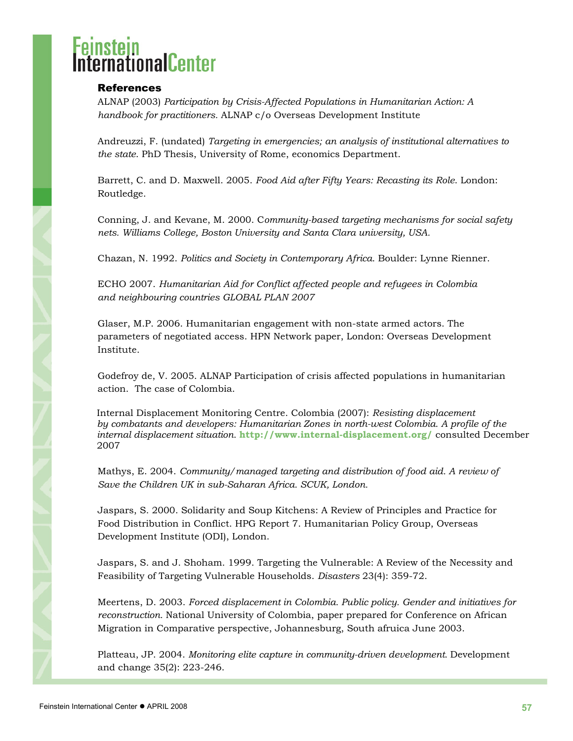### <span id="page-56-0"></span>nationalCenter

### **References**

ALNAP (2003) *Participation by Crisis-Affected Populations in Humanitarian Action: A handbook for practitioners.* ALNAP c/o Overseas Development Institute

Andreuzzi, F. (undated) *Targeting in emergencies; an analysis of institutional alternatives to the state*. PhD Thesis, University of Rome, economics Department.

Barrett, C. and D. Maxwell. 2005. *Food Aid after Fifty Years: Recasting its Role*. London: Routledge.

Conning, J. and Kevane, M. 2000. C*ommunity-based targeting mechanisms for social safety nets. Williams College, Boston University and Santa Clara university, USA.*

Chazan, N. 1992. *Politics and Society in Contemporary Africa*. Boulder: Lynne Rienner.

ECHO 2007. *Humanitarian Aid for Conflict affected people and refugees in Colombia and neighbouring countries GLOBAL PLAN 2007*

Glaser, M.P. 2006. Humanitarian engagement with non-state armed actors. The parameters of negotiated access. HPN Network paper, London: Overseas Development Institute.

Godefroy de, V. 2005. ALNAP Participation of crisis affected populations in humanitarian action. The case of Colombia.

Internal Displacement Monitoring Centre. Colombia (2007): *Resisting displacement by combatants and developers: Humanitarian Zones in north-west Colombia. A profile of the internal displacement situation.* **<http://www.internal-displacement.org/>** consulted December 2007

Mathys, E. 2004. *Community/managed targeting and distribution of food aid. A review of Save the Children UK in sub-Saharan Africa. SCUK, London.*

Jaspars, S. 2000. Solidarity and Soup Kitchens: A Review of Principles and Practice for Food Distribution in Conflict. HPG Report 7. Humanitarian Policy Group, Overseas Development Institute (ODI), London.

Jaspars, S. and J. Shoham. 1999. Targeting the Vulnerable: A Review of the Necessity and Feasibility of Targeting Vulnerable Households. *Disasters* 23(4): 359-72.

Meertens, D. 2003. *Forced displacement in Colombia. Public policy. Gender and initiatives for reconstruction.* National University of Colombia, paper prepared for Conference on African Migration in Comparative perspective, Johannesburg, South afruica June 2003.

Platteau, JP. 2004. *Monitoring elite capture in community-driven development.* Development and change 35(2): 223-246.